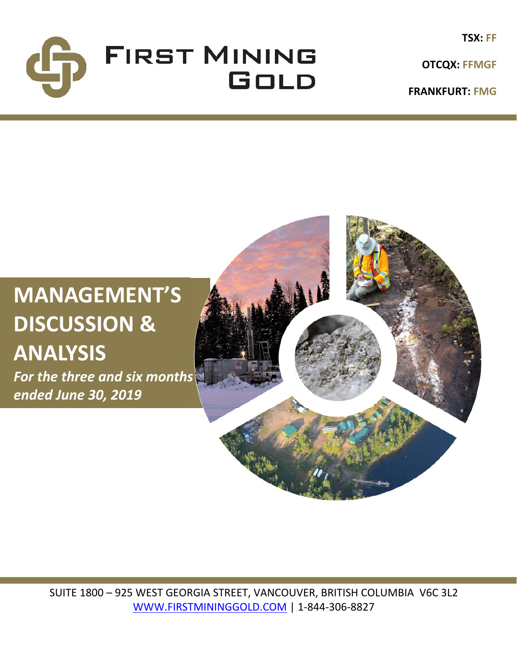

**TSX: FF**

**FRANKFURT: FMG**

# **MANAGEMENT'S DISCUSSION & ANALYSIS**

*For the three and six months ended June 30, 2019*



SUITE 1800 – 925 WEST GEORGIA STREET, VANCOUVER, BRITISH COLUMBIA V6C 3L2 WWW.FIRSTMININGGOLD.COM | 1‐844‐306‐8827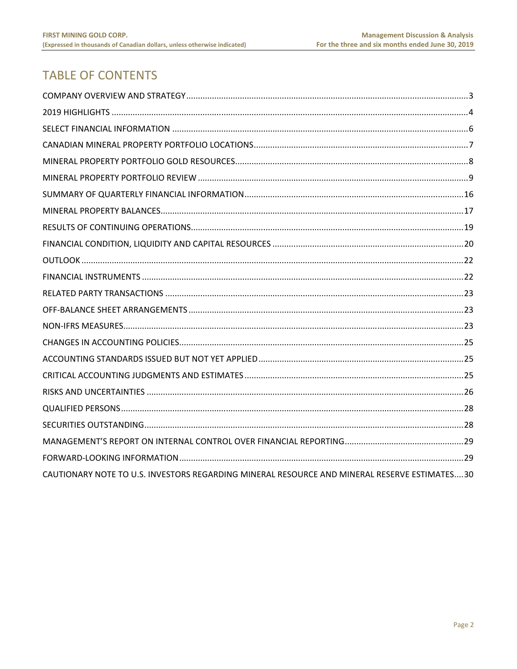# **TABLE OF CONTENTS**

| CAUTIONARY NOTE TO U.S. INVESTORS REGARDING MINERAL RESOURCE AND MINERAL RESERVE ESTIMATES30 |
|----------------------------------------------------------------------------------------------|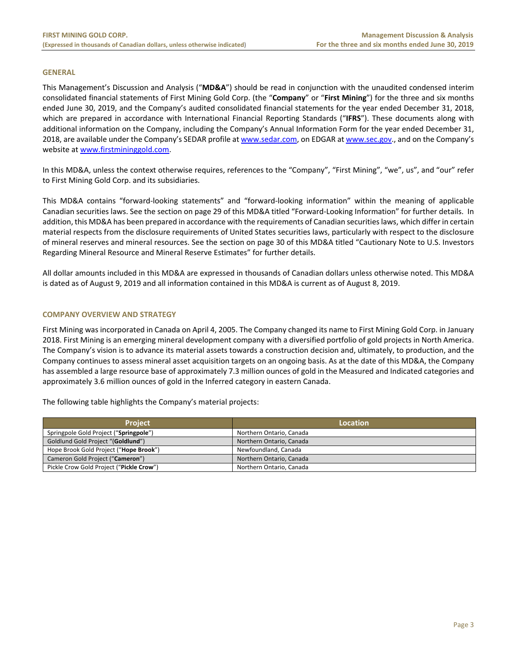#### **GENERAL**

This Management's Discussion and Analysis ("**MD&A**") should be read in conjunction with the unaudited condensed interim consolidated financial statements of First Mining Gold Corp. (the "**Company**" or "**First Mining**") for the three and six months ended June 30, 2019, and the Company's audited consolidated financial statements for the year ended December 31, 2018, which are prepared in accordance with International Financial Reporting Standards ("IFRS"). These documents along with additional information on the Company, including the Company's Annual Information Form for the year ended December 31, 2018, are available under the Company's SEDAR profile at www.sedar.com, on EDGAR at www.sec.gov., and on the Company's website at www.firstmininggold.com.

In this MD&A, unless the context otherwise requires, references to the "Company", "First Mining", "we", us", and "our" refer to First Mining Gold Corp. and its subsidiaries.

This MD&A contains "forward‐looking statements" and "forward‐looking information" within the meaning of applicable Canadian securities laws. See the section on page 29 of this MD&A titled "Forward‐Looking Information" for further details. In addition, this MD&A has been prepared in accordance with the requirements of Canadian securities laws, which differ in certain material respects from the disclosure requirements of United States securities laws, particularly with respect to the disclosure of mineral reserves and mineral resources. See the section on page 30 of this MD&A titled "Cautionary Note to U.S. Investors Regarding Mineral Resource and Mineral Reserve Estimates" for further details.

All dollar amounts included in this MD&A are expressed in thousands of Canadian dollars unless otherwise noted. This MD&A is dated as of August 9, 2019 and all information contained in this MD&A is current as of August 8, 2019.

# **COMPANY OVERVIEW AND STRATEGY**

First Mining was incorporated in Canada on April 4, 2005. The Company changed its name to First Mining Gold Corp. in January 2018. First Mining is an emerging mineral development company with a diversified portfolio of gold projects in North America. The Company's vision is to advance its material assets towards a construction decision and, ultimately, to production, and the Company continues to assess mineral asset acquisition targets on an ongoing basis. As at the date of this MD&A, the Company has assembled a large resource base of approximately 7.3 million ounces of gold in the Measured and Indicated categories and approximately 3.6 million ounces of gold in the Inferred category in eastern Canada.

The following table highlights the Company's material projects:

| <b>Project</b>                           | Location                 |
|------------------------------------------|--------------------------|
| Springpole Gold Project ("Springpole")   | Northern Ontario, Canada |
| Goldlund Gold Project "(Goldlund")       | Northern Ontario, Canada |
| Hope Brook Gold Project ("Hope Brook")   | Newfoundland, Canada     |
| Cameron Gold Project ("Cameron")         | Northern Ontario, Canada |
| Pickle Crow Gold Project ("Pickle Crow") | Northern Ontario, Canada |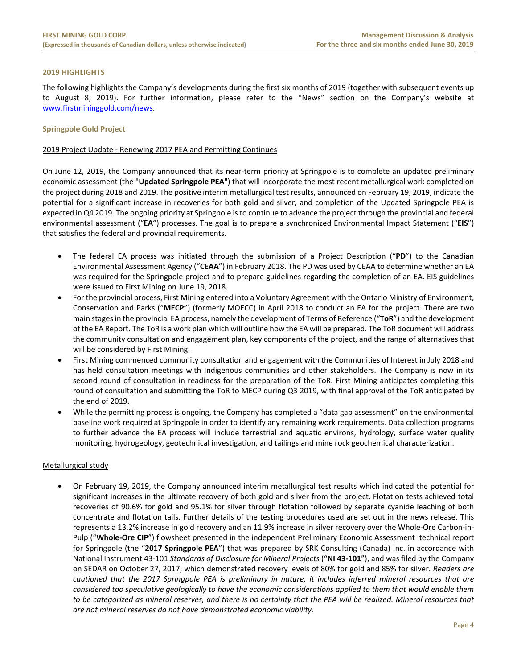# **2019 HIGHLIGHTS**

The following highlights the Company's developments during the first six months of 2019 (together with subsequent events up to August 8, 2019). For further information, please refer to the "News" section on the Company's website at www.firstmininggold.com/news.

# **Springpole Gold Project**

# 2019 Project Update ‐ Renewing 2017 PEA and Permitting Continues

On June 12, 2019, the Company announced that its near‐term priority at Springpole is to complete an updated preliminary economic assessment (the "**Updated Springpole PEA**") that will incorporate the most recent metallurgical work completed on the project during 2018 and 2019. The positive interim metallurgical test results, announced on February 19, 2019, indicate the potential for a significant increase in recoveries for both gold and silver, and completion of the Updated Springpole PEA is expected in Q4 2019. The ongoing priority at Springpole is to continue to advance the project through the provincial and federal environmental assessment ("**EA**") processes. The goal is to prepare a synchronized Environmental Impact Statement ("**EIS**") that satisfies the federal and provincial requirements.

- The federal EA process was initiated through the submission of a Project Description ("PD") to the Canadian Environmental Assessment Agency ("**CEAA**") in February 2018. The PD was used by CEAA to determine whether an EA was required for the Springpole project and to prepare guidelines regarding the completion of an EA. EIS guidelines were issued to First Mining on June 19, 2018.
- For the provincial process, First Mining entered into a Voluntary Agreement with the Ontario Ministry of Environment, Conservation and Parks ("**MECP**") (formerly MOECC) in April 2018 to conduct an EA for the project. There are two main stages in the provincial EA process, namely the development of Terms of Reference ("**ToR**") and the development of the EA Report. The ToR is a work plan which will outline how the EA will be prepared. The ToR document will address the community consultation and engagement plan, key components of the project, and the range of alternatives that will be considered by First Mining.
- First Mining commenced community consultation and engagement with the Communities of Interest in July 2018 and has held consultation meetings with Indigenous communities and other stakeholders. The Company is now in its second round of consultation in readiness for the preparation of the ToR. First Mining anticipates completing this round of consultation and submitting the ToR to MECP during Q3 2019, with final approval of the ToR anticipated by the end of 2019.
- While the permitting process is ongoing, the Company has completed a "data gap assessment" on the environmental baseline work required at Springpole in order to identify any remaining work requirements. Data collection programs to further advance the EA process will include terrestrial and aquatic environs, hydrology, surface water quality monitoring, hydrogeology, geotechnical investigation, and tailings and mine rock geochemical characterization.

# Metallurgical study

 On February 19, 2019, the Company announced interim metallurgical test results which indicated the potential for significant increases in the ultimate recovery of both gold and silver from the project. Flotation tests achieved total recoveries of 90.6% for gold and 95.1% for silver through flotation followed by separate cyanide leaching of both concentrate and flotation tails. Further details of the testing procedures used are set out in the news release. This represents a 13.2% increase in gold recovery and an 11.9% increase in silver recovery over the Whole‐Ore Carbon‐in‐ Pulp ("**Whole‐Ore CIP**") flowsheet presented in the independent Preliminary Economic Assessment technical report for Springpole (the "**2017 Springpole PEA**") that was prepared by SRK Consulting (Canada) Inc. in accordance with National Instrument 43‐101 *Standards of Disclosure for Mineral Projects* ("**NI 43‐101**"), and was filed by the Company on SEDAR on October 27, 2017, which demonstrated recovery levels of 80% for gold and 85% for silver. *Readers are cautioned that the 2017 Springpole PEA is preliminary in nature, it includes inferred mineral resources that are considered too speculative geologically to have the economic considerations applied to them that would enable them to be categorized as mineral reserves, and there is no certainty that the PEA will be realized. Mineral resources that are not mineral reserves do not have demonstrated economic viability.*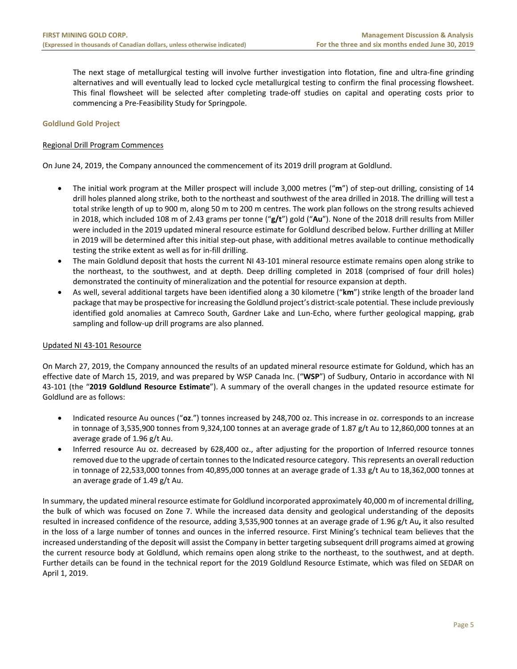The next stage of metallurgical testing will involve further investigation into flotation, fine and ultra-fine grinding alternatives and will eventually lead to locked cycle metallurgical testing to confirm the final processing flowsheet. This final flowsheet will be selected after completing trade-off studies on capital and operating costs prior to commencing a Pre‐Feasibility Study for Springpole.

# **Goldlund Gold Project**

# Regional Drill Program Commences

On June 24, 2019, the Company announced the commencement of its 2019 drill program at Goldlund.

- The initial work program at the Miller prospect will include 3,000 metres ("**m**") of step‐out drilling, consisting of 14 drill holes planned along strike, both to the northeast and southwest of the area drilled in 2018. The drilling will test a total strike length of up to 900 m, along 50 m to 200 m centres. The work plan follows on the strong results achieved in 2018, which included 108 m of 2.43 grams per tonne ("**g/t**") gold ("**Au**"). None of the 2018 drill results from Miller were included in the 2019 updated mineral resource estimate for Goldlund described below. Further drilling at Miller in 2019 will be determined after this initial step‐out phase, with additional metres available to continue methodically testing the strike extent as well as for in‐fill drilling.
- The main Goldlund deposit that hosts the current NI 43‐101 mineral resource estimate remains open along strike to the northeast, to the southwest, and at depth. Deep drilling completed in 2018 (comprised of four drill holes) demonstrated the continuity of mineralization and the potential for resource expansion at depth.
- As well, several additional targets have been identified along a 30 kilometre ("**km**") strike length of the broader land package that may be prospective for increasing the Goldlund project's district-scale potential. These include previously identified gold anomalies at Camreco South, Gardner Lake and Lun‐Echo, where further geological mapping, grab sampling and follow-up drill programs are also planned.

# Updated NI 43‐101 Resource

On March 27, 2019, the Company announced the results of an updated mineral resource estimate for Goldund, which has an effective date of March 15, 2019, and was prepared by WSP Canada Inc. ("**WSP**") of Sudbury, Ontario in accordance with NI 43‐101 (the "**2019 Goldlund Resource Estimate**"). A summary of the overall changes in the updated resource estimate for Goldlund are as follows:

- Indicated resource Au ounces ("**oz**.") tonnes increased by 248,700 oz. This increase in oz. corresponds to an increase in tonnage of 3,535,900 tonnes from 9,324,100 tonnes at an average grade of 1.87 g/t Au to 12,860,000 tonnes at an average grade of 1.96 g/t Au.
- Inferred resource Au oz. decreased by 628,400 oz., after adjusting for the proportion of Inferred resource tonnes removed due to the upgrade of certain tonnes to the Indicated resource category. This represents an overall reduction in tonnage of 22,533,000 tonnes from 40,895,000 tonnes at an average grade of 1.33 g/t Au to 18,362,000 tonnes at an average grade of 1.49 g/t Au.

In summary, the updated mineral resource estimate for Goldlund incorporated approximately 40,000 m of incremental drilling, the bulk of which was focused on Zone 7. While the increased data density and geological understanding of the deposits resulted in increased confidence of the resource, adding 3,535,900 tonnes at an average grade of 1.96 g/t Au**,** it also resulted in the loss of a large number of tonnes and ounces in the inferred resource. First Mining's technical team believes that the increased understanding of the deposit will assist the Company in better targeting subsequent drill programs aimed at growing the current resource body at Goldlund, which remains open along strike to the northeast, to the southwest, and at depth. Further details can be found in the technical report for the 2019 Goldlund Resource Estimate, which was filed on SEDAR on April 1, 2019.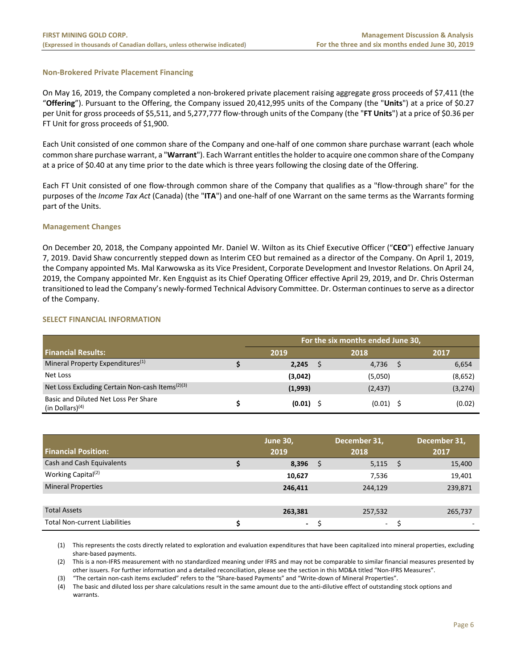# **Non‐Brokered Private Placement Financing**

On May 16, 2019, the Company completed a non-brokered private placement raising aggregate gross proceeds of \$7,411 (the "**Offering**"). Pursuant to the Offering, the Company issued 20,412,995 units of the Company (the "**Units**") at a price of \$0.27 per Unit for gross proceeds of \$5,511, and 5,277,777 flow‐through units of the Company (the "**FT Units**") at a price of \$0.36 per FT Unit for gross proceeds of \$1,900.

Each Unit consisted of one common share of the Company and one‐half of one common share purchase warrant (each whole common share purchase warrant, a "**Warrant**"). Each Warrant entitles the holder to acquire one common share of the Company at a price of \$0.40 at any time prior to the date which is three years following the closing date of the Offering.

Each FT Unit consisted of one flow-through common share of the Company that qualifies as a "flow-through share" for the purposes of the *Income Tax Act* (Canada) (the "**ITA**") and one‐half of one Warrant on the same terms as the Warrants forming part of the Units.

# **Management Changes**

On December 20, 2018, the Company appointed Mr. Daniel W. Wilton as its Chief Executive Officer ("**CEO**") effective January 7, 2019. David Shaw concurrently stepped down as Interim CEO but remained as a director of the Company. On April 1, 2019, the Company appointed Ms. Mal Karwowska as its Vice President, Corporate Development and Investor Relations. On April 24, 2019, the Company appointed Mr. Ken Engquist as its Chief Operating Officer effective April 29, 2019, and Dr. Chris Osterman transitioned to lead the Company's newly‐formed Technical Advisory Committee. Dr. Osterman continues to serve as a director of the Company.

# **SELECT FINANCIAL INFORMATION**

|                                                             | For the six months ended June 30, |  |             |  |          |  |  |  |  |  |
|-------------------------------------------------------------|-----------------------------------|--|-------------|--|----------|--|--|--|--|--|
| <b>Financial Results:</b>                                   | 2019                              |  | 2018        |  | 2017     |  |  |  |  |  |
| Mineral Property Expenditures <sup>(1)</sup>                | 2,245                             |  | 4,736       |  | 6,654    |  |  |  |  |  |
| Net Loss                                                    | (3,042)                           |  | (5,050)     |  | (8,652)  |  |  |  |  |  |
| Net Loss Excluding Certain Non-cash Items <sup>(2)(3)</sup> | (1,993)                           |  | (2, 437)    |  | (3, 274) |  |  |  |  |  |
| Basic and Diluted Net Loss Per Share<br>(in Dollars) $(4)$  | $(0.01)$ \$                       |  | $(0.01)$ \$ |  | (0.02)   |  |  |  |  |  |

| <b>Financial Position:</b>           | <b>June 30,</b><br>2019  | December 31,<br>2018 |      | December 31,<br>2017 |
|--------------------------------------|--------------------------|----------------------|------|----------------------|
| Cash and Cash Equivalents            | 8,396                    | 5,115                | - \$ | 15,400               |
| Working Capital <sup>(2)</sup>       | 10,627                   | 7,536                |      | 19,401               |
| <b>Mineral Properties</b>            | 246,411                  | 244,129              |      | 239,871              |
|                                      |                          |                      |      |                      |
| <b>Total Assets</b>                  | 263,381                  | 257,532              |      | 265,737              |
| <b>Total Non-current Liabilities</b> | $\overline{\phantom{a}}$ | $\sim$               |      |                      |

(1) This represents the costs directly related to exploration and evaluation expenditures that have been capitalized into mineral properties, excluding share‐based payments.

(2) This is a non‐IFRS measurement with no standardized meaning under IFRS and may not be comparable to similar financial measures presented by other issuers. For further information and a detailed reconciliation, please see the section in this MD&A titled "Non‐IFRS Measures".

(3) "The certain non‐cash items excluded" refers to the "Share‐based Payments" and "Write‐down of Mineral Properties".

(4) The basic and diluted loss per share calculations result in the same amount due to the anti‐dilutive effect of outstanding stock options and warrants.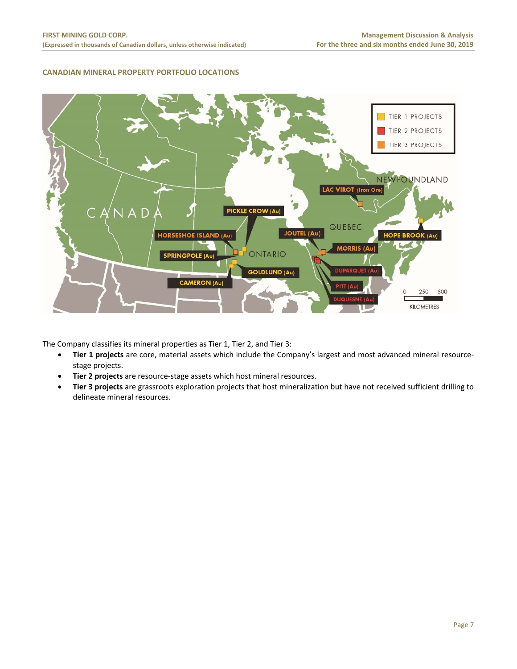# **CANADIAN MINERAL PROPERTY PORTFOLIO LOCATIONS**



The Company classifies its mineral properties as Tier 1, Tier 2, and Tier 3:

- **Tier 1 projects** are core, material assets which include the Company's largest and most advanced mineral resource‐ stage projects.
- **Tier 2 projects** are resource‐stage assets which host mineral resources.
- **Tier 3 projects** are grassroots exploration projects that host mineralization but have not received sufficient drilling to delineate mineral resources.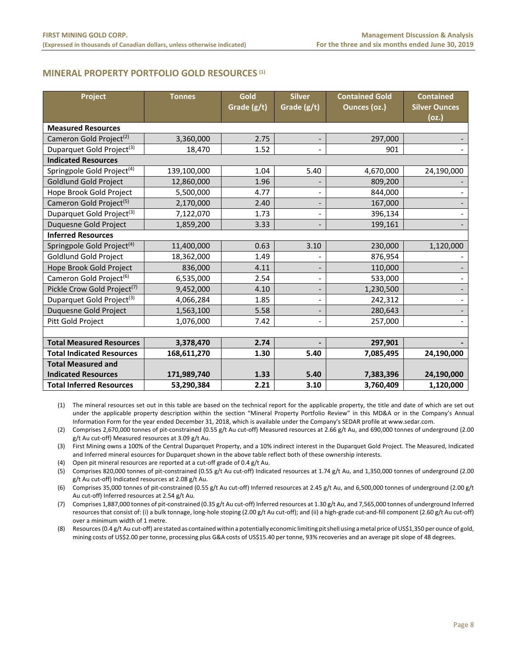# **MINERAL PROPERTY PORTFOLIO GOLD RESOURCES (1)**

| Project                                 | <b>Tonnes</b> | Gold<br>Grade (g/t) | <b>Silver</b><br>Grade (g/t) | <b>Contained Gold</b><br>Ounces (oz.) | <b>Contained</b><br><b>Silver Ounces</b><br>(oz.) |
|-----------------------------------------|---------------|---------------------|------------------------------|---------------------------------------|---------------------------------------------------|
| <b>Measured Resources</b>               |               |                     |                              |                                       |                                                   |
| Cameron Gold Project <sup>(2)</sup>     | 3,360,000     | 2.75                | $\overline{\phantom{a}}$     | 297,000                               |                                                   |
| Duparquet Gold Project <sup>(3)</sup>   | 18,470        | 1.52                |                              | 901                                   |                                                   |
| <b>Indicated Resources</b>              |               |                     |                              |                                       |                                                   |
| Springpole Gold Project <sup>(4)</sup>  | 139,100,000   | 1.04                | 5.40                         | 4,670,000                             | 24,190,000                                        |
| <b>Goldlund Gold Project</b>            | 12,860,000    | 1.96                |                              | 809,200                               |                                                   |
| Hope Brook Gold Project                 | 5,500,000     | 4.77                |                              | 844,000                               |                                                   |
| Cameron Gold Project <sup>(5)</sup>     | 2,170,000     | 2.40                | $\overline{\phantom{m}}$     | 167,000                               |                                                   |
| Duparquet Gold Project <sup>(3)</sup>   | 7,122,070     | 1.73                |                              | 396,134                               |                                                   |
| <b>Duquesne Gold Project</b>            | 1,859,200     | 3.33                |                              | 199,161                               |                                                   |
| <b>Inferred Resources</b>               |               |                     |                              |                                       |                                                   |
| Springpole Gold Project <sup>(4)</sup>  | 11,400,000    | 0.63                | 3.10                         | 230,000                               | 1,120,000                                         |
| Goldlund Gold Project                   | 18,362,000    | 1.49                |                              | 876,954                               |                                                   |
| Hope Brook Gold Project                 | 836,000       | 4.11                |                              | 110,000                               |                                                   |
| Cameron Gold Project <sup>(6)</sup>     | 6,535,000     | 2.54                | $\overline{\phantom{0}}$     | 533,000                               |                                                   |
| Pickle Crow Gold Project <sup>(7)</sup> | 9,452,000     | 4.10                |                              | 1,230,500                             |                                                   |
| Duparquet Gold Project <sup>(3)</sup>   | 4,066,284     | 1.85                | $\overline{a}$               | 242,312                               |                                                   |
| Duquesne Gold Project                   | 1,563,100     | 5.58                | $\overline{\phantom{a}}$     | 280,643                               |                                                   |
| Pitt Gold Project                       | 1,076,000     | 7.42                |                              | 257,000                               |                                                   |
|                                         |               |                     |                              |                                       |                                                   |
| <b>Total Measured Resources</b>         | 3,378,470     | 2.74                |                              | 297,901                               |                                                   |
| <b>Total Indicated Resources</b>        | 168,611,270   | 1.30                | 5.40                         | 7,085,495                             | 24,190,000                                        |
| <b>Total Measured and</b>               |               |                     |                              |                                       |                                                   |
| <b>Indicated Resources</b>              | 171,989,740   | 1.33                | 5.40                         | 7,383,396                             | 24,190,000                                        |
| <b>Total Inferred Resources</b>         | 53,290,384    | 2.21                | 3.10                         | 3,760,409                             | 1,120,000                                         |

(1) The mineral resources set out in this table are based on the technical report for the applicable property, the title and date of which are set out under the applicable property description within the section "Mineral Property Portfolio Review" in this MD&A or in the Company's Annual Information Form for the year ended December 31, 2018, which is available under the Company's SEDAR profile at www.sedar.com.

(2) Comprises 2,670,000 tonnes of pit‐constrained (0.55 g/t Au cut‐off) Measured resources at 2.66 g/t Au, and 690,000 tonnes of underground (2.00 g/t Au cut‐off) Measured resources at 3.09 g/t Au.

(3) First Mining owns a 100% of the Central Duparquet Property, and a 10% indirect interest in the Duparquet Gold Project. The Measured, Indicated and Inferred mineral esources for Duparquet shown in the above table reflect both of these ownership interests.

(4) Open pit mineral resources are reported at a cut‐off grade of 0.4 g/t Au.

(5) Comprises 820,000 tonnes of pit‐constrained (0.55 g/t Au cut‐off) Indicated resources at 1.74 g/t Au, and 1,350,000 tonnes of underground (2.00 g/t Au cut‐off) Indicated resources at 2.08 g/t Au.

(6) Comprises 35,000 tonnes of pit‐constrained (0.55 g/t Au cut‐off) Inferred resources at 2.45 g/t Au, and 6,500,000 tonnes of underground (2.00 g/t Au cut‐off) Inferred resources at 2.54 g/t Au.

(7) Comprises 1,887,000 tonnes of pit‐constrained (0.35 g/t Au cut‐off) Inferred resources at 1.30 g/t Au, and 7,565,000 tonnes of underground Inferred resources that consist of: (i) a bulk tonnage, long-hole stoping (2.00 g/t Au cut-off); and (ii) a high-grade cut-and-fill component (2.60 g/t Au cut-off) over a minimum width of 1 metre.

(8) Resources (0.4 g/t Au cut‐off) are stated as contained within a potentially economic limiting pit shell using a metal price of US\$1,350 per ounce of gold, mining costs of US\$2.00 per tonne, processing plus G&A costs of US\$15.40 per tonne, 93% recoveries and an average pit slope of 48 degrees.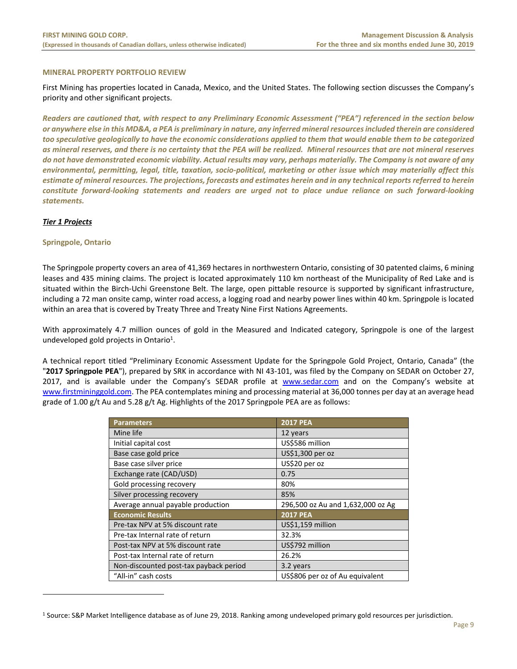# **MINERAL PROPERTY PORTFOLIO REVIEW**

First Mining has properties located in Canada, Mexico, and the United States. The following section discusses the Company's priority and other significant projects.

*Readers are cautioned that, with respect to any Preliminary Economic Assessment ("PEA") referenced in the section below or anywhere else in this MD&A, a PEA is preliminary in nature, any inferred mineral resources included therein are considered too speculative geologically to have the economic considerations applied to them that would enable them to be categorized as mineral reserves, and there is no certainty that the PEA will be realized. Mineral resources that are not mineral reserves do not have demonstrated economic viability. Actual results may vary, perhaps materially. The Company is not aware of any environmental, permitting, legal, title, taxation, socio‐political, marketing or other issue which may materially affect this estimate of mineral resources. The projections, forecasts and estimates herein and in any technical reports referred to herein constitute forward‐looking statements and readers are urged not to place undue reliance on such forward‐looking statements.*

# *Tier 1 Projects*

 $\overline{a}$ 

# **Springpole, Ontario**

The Springpole property covers an area of 41,369 hectares in northwestern Ontario, consisting of 30 patented claims, 6 mining leases and 435 mining claims. The project is located approximately 110 km northeast of the Municipality of Red Lake and is situated within the Birch-Uchi Greenstone Belt. The large, open pittable resource is supported by significant infrastructure, including a 72 man onsite camp, winter road access, a logging road and nearby power lines within 40 km. Springpole is located within an area that is covered by Treaty Three and Treaty Nine First Nations Agreements.

With approximately 4.7 million ounces of gold in the Measured and Indicated category, Springpole is one of the largest undeveloped gold projects in Ontario<sup>1</sup>.

A technical report titled "Preliminary Economic Assessment Update for the Springpole Gold Project, Ontario, Canada" (the "**2017 Springpole PEA**"), prepared by SRK in accordance with NI 43‐101, was filed by the Company on SEDAR on October 27, 2017, and is available under the Company's SEDAR profile at www.sedar.com and on the Company's website at www.firstmininggold.com. The PEA contemplates mining and processing material at 36,000 tonnes per day at an average head grade of 1.00 g/t Au and 5.28 g/t Ag. Highlights of the 2017 Springpole PEA are as follows:

| <b>Parameters</b>                      | <b>2017 PEA</b>                   |
|----------------------------------------|-----------------------------------|
| Mine life                              | 12 years                          |
| Initial capital cost                   | US\$586 million                   |
| Base case gold price                   | US\$1,300 per oz                  |
| Base case silver price                 | US\$20 per oz                     |
| Exchange rate (CAD/USD)                | 0.75                              |
| Gold processing recovery               | 80%                               |
| Silver processing recovery             | 85%                               |
| Average annual payable production      | 296,500 oz Au and 1,632,000 oz Ag |
| <b>Economic Results</b>                | <b>2017 PEA</b>                   |
| Pre-tax NPV at 5% discount rate        | US\$1,159 million                 |
| Pre-tax Internal rate of return        | 32.3%                             |
| Post-tax NPV at 5% discount rate       | US\$792 million                   |
| Post-tax Internal rate of return       | 26.2%                             |
| Non-discounted post-tax payback period | 3.2 years                         |
| "All-in" cash costs                    | US\$806 per oz of Au equivalent   |

<sup>&</sup>lt;sup>1</sup> Source: S&P Market Intelligence database as of June 29, 2018. Ranking among undeveloped primary gold resources per jurisdiction.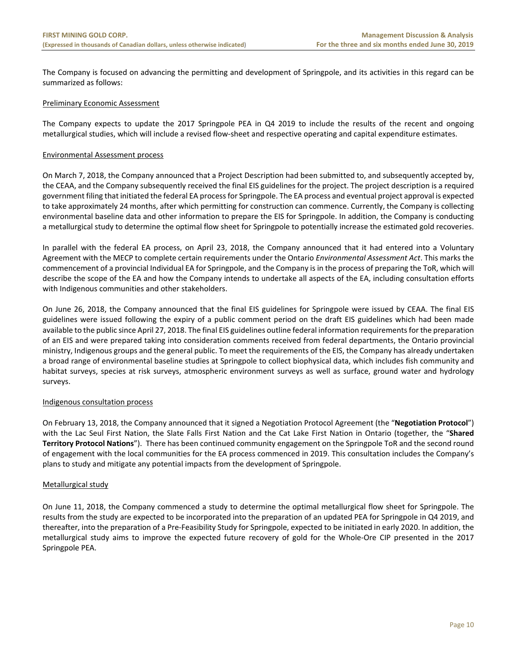The Company is focused on advancing the permitting and development of Springpole, and its activities in this regard can be summarized as follows:

# Preliminary Economic Assessment

The Company expects to update the 2017 Springpole PEA in Q4 2019 to include the results of the recent and ongoing metallurgical studies, which will include a revised flow‐sheet and respective operating and capital expenditure estimates.

# Environmental Assessment process

On March 7, 2018, the Company announced that a Project Description had been submitted to, and subsequently accepted by, the CEAA, and the Company subsequently received the final EIS guidelines for the project. The project description is a required government filing that initiated the federal EA process for Springpole. The EA process and eventual project approval is expected to take approximately 24 months, after which permitting for construction can commence. Currently, the Company is collecting environmental baseline data and other information to prepare the EIS for Springpole. In addition, the Company is conducting a metallurgical study to determine the optimal flow sheet for Springpole to potentially increase the estimated gold recoveries.

In parallel with the federal EA process, on April 23, 2018, the Company announced that it had entered into a Voluntary Agreement with the MECP to complete certain requirements under the Ontario *Environmental Assessment Act*. This marks the commencement of a provincial Individual EA for Springpole, and the Company is in the process of preparing the ToR, which will describe the scope of the EA and how the Company intends to undertake all aspects of the EA, including consultation efforts with Indigenous communities and other stakeholders.

On June 26, 2018, the Company announced that the final EIS guidelines for Springpole were issued by CEAA. The final EIS guidelines were issued following the expiry of a public comment period on the draft EIS guidelines which had been made available to the public since April 27, 2018. The final EIS guidelines outline federal information requirements for the preparation of an EIS and were prepared taking into consideration comments received from federal departments, the Ontario provincial ministry, Indigenous groups and the general public. To meet the requirements of the EIS, the Company has already undertaken a broad range of environmental baseline studies at Springpole to collect biophysical data, which includes fish community and habitat surveys, species at risk surveys, atmospheric environment surveys as well as surface, ground water and hydrology surveys.

# Indigenous consultation process

On February 13, 2018, the Company announced that it signed a Negotiation Protocol Agreement (the "**Negotiation Protocol**") with the Lac Seul First Nation, the Slate Falls First Nation and the Cat Lake First Nation in Ontario (together, the "**Shared Territory Protocol Nations**"). There has been continued community engagement on the Springpole ToR and the second round of engagement with the local communities for the EA process commenced in 2019. This consultation includes the Company's plans to study and mitigate any potential impacts from the development of Springpole.

# Metallurgical study

On June 11, 2018, the Company commenced a study to determine the optimal metallurgical flow sheet for Springpole. The results from the study are expected to be incorporated into the preparation of an updated PEA for Springpole in Q4 2019, and thereafter, into the preparation of a Pre‐Feasibility Study for Springpole, expected to be initiated in early 2020. In addition, the metallurgical study aims to improve the expected future recovery of gold for the Whole-Ore CIP presented in the 2017 Springpole PEA.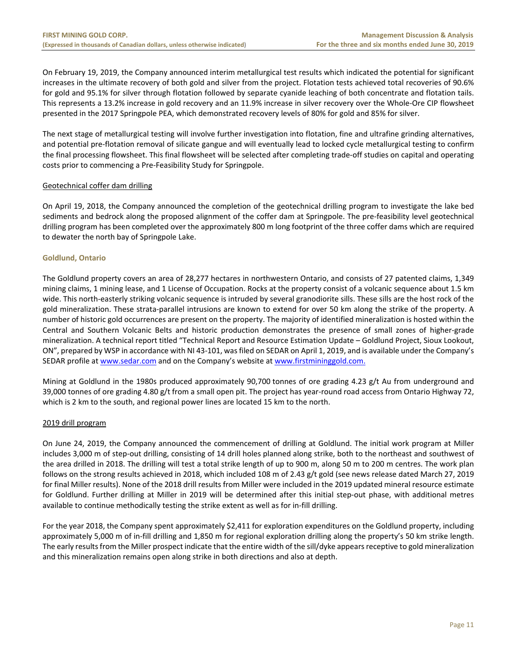On February 19, 2019, the Company announced interim metallurgical test results which indicated the potential for significant increases in the ultimate recovery of both gold and silver from the project. Flotation tests achieved total recoveries of 90.6% for gold and 95.1% for silver through flotation followed by separate cyanide leaching of both concentrate and flotation tails. This represents a 13.2% increase in gold recovery and an 11.9% increase in silver recovery over the Whole‐Ore CIP flowsheet presented in the 2017 Springpole PEA, which demonstrated recovery levels of 80% for gold and 85% for silver.

The next stage of metallurgical testing will involve further investigation into flotation, fine and ultrafine grinding alternatives, and potential pre‐flotation removal of silicate gangue and will eventually lead to locked cycle metallurgical testing to confirm the final processing flowsheet. This final flowsheet will be selected after completing trade‐off studies on capital and operating costs prior to commencing a Pre‐Feasibility Study for Springpole.

# Geotechnical coffer dam drilling

On April 19, 2018, the Company announced the completion of the geotechnical drilling program to investigate the lake bed sediments and bedrock along the proposed alignment of the coffer dam at Springpole. The pre‐feasibility level geotechnical drilling program has been completed over the approximately 800 m long footprint of the three coffer dams which are required to dewater the north bay of Springpole Lake.

# **Goldlund, Ontario**

The Goldlund property covers an area of 28,277 hectares in northwestern Ontario, and consists of 27 patented claims, 1,349 mining claims, 1 mining lease, and 1 License of Occupation. Rocks at the property consist of a volcanic sequence about 1.5 km wide. This north‐easterly striking volcanic sequence is intruded by several granodiorite sills. These sills are the host rock of the gold mineralization. These strata‐parallel intrusions are known to extend for over 50 km along the strike of the property. A number of historic gold occurrences are present on the property. The majority of identified mineralization is hosted within the Central and Southern Volcanic Belts and historic production demonstrates the presence of small zones of higher-grade mineralization. A technical report titled "Technical Report and Resource Estimation Update – Goldlund Project, Sioux Lookout, ON", prepared by WSP in accordance with NI 43‐101, was filed on SEDAR on April 1, 2019, and is available under the Company's SEDAR profile at www.sedar.com and on the Company's website at www.firstmininggold.com.

Mining at Goldlund in the 1980s produced approximately 90,700 tonnes of ore grading 4.23 g/t Au from underground and 39,000 tonnes of ore grading 4.80 g/t from a small open pit. The project has year‐round road access from Ontario Highway 72, which is 2 km to the south, and regional power lines are located 15 km to the north.

# 2019 drill program

On June 24, 2019, the Company announced the commencement of drilling at Goldlund. The initial work program at Miller includes 3,000 m of step-out drilling, consisting of 14 drill holes planned along strike, both to the northeast and southwest of the area drilled in 2018. The drilling will test a total strike length of up to 900 m, along 50 m to 200 m centres. The work plan follows on the strong results achieved in 2018, which included 108 m of 2.43 g/t gold (see news release dated March 27, 2019 for final Miller results). None of the 2018 drill results from Miller were included in the 2019 updated mineral resource estimate for Goldlund. Further drilling at Miller in 2019 will be determined after this initial step-out phase, with additional metres available to continue methodically testing the strike extent as well as for in‐fill drilling.

For the year 2018, the Company spent approximately \$2,411 for exploration expenditures on the Goldlund property, including approximately 5,000 m of in‐fill drilling and 1,850 m for regional exploration drilling along the property's 50 km strike length. The early results from the Miller prospect indicate that the entire width of the sill/dyke appears receptive to gold mineralization and this mineralization remains open along strike in both directions and also at depth.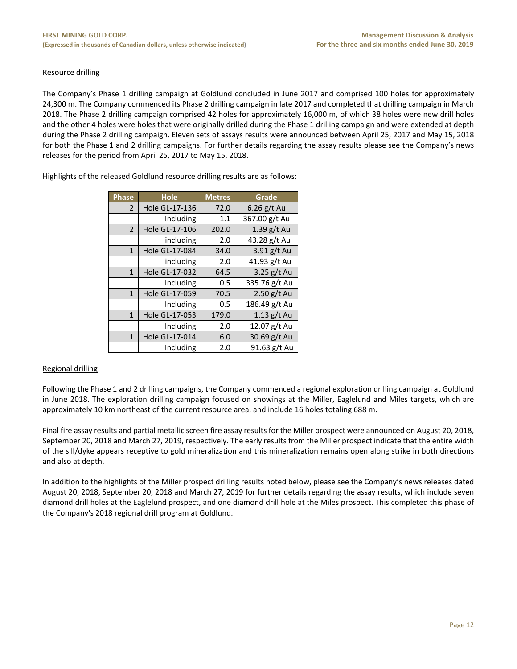# Resource drilling

The Company's Phase 1 drilling campaign at Goldlund concluded in June 2017 and comprised 100 holes for approximately 24,300 m. The Company commenced its Phase 2 drilling campaign in late 2017 and completed that drilling campaign in March 2018. The Phase 2 drilling campaign comprised 42 holes for approximately 16,000 m, of which 38 holes were new drill holes and the other 4 holes were holes that were originally drilled during the Phase 1 drilling campaign and were extended at depth during the Phase 2 drilling campaign. Eleven sets of assays results were announced between April 25, 2017 and May 15, 2018 for both the Phase 1 and 2 drilling campaigns. For further details regarding the assay results please see the Company's news releases for the period from April 25, 2017 to May 15, 2018.

| <b>Phase</b>   | <b>Hole</b>    | <b>Metres</b> | Grade         |
|----------------|----------------|---------------|---------------|
| $\overline{2}$ | Hole GL-17-136 | 72.0          | $6.26$ g/t Au |
|                | Including      | 1.1           | 367.00 g/t Au |
| $\overline{2}$ | Hole GL-17-106 | 202.0         | 1.39 g/t Au   |
|                | including      | 2.0           | 43.28 g/t Au  |
| $\mathbf{1}$   | Hole GL-17-084 | 34.0          | 3.91 g/t Au   |
|                | including      | 2.0           | 41.93 g/t Au  |
| $\mathbf{1}$   | Hole GL-17-032 | 64.5          | 3.25 g/t Au   |
|                | Including      | 0.5           | 335.76 g/t Au |
| $\mathbf{1}$   | Hole GL-17-059 | 70.5          | $2.50$ g/t Au |
|                | Including      | 0.5           | 186.49 g/t Au |
| $\mathbf{1}$   | Hole GL-17-053 | 179.0         | $1.13$ g/t Au |
|                | Including      | 2.0           | 12.07 g/t Au  |
| $\mathbf{1}$   | Hole GL-17-014 | 6.0           | 30.69 g/t Au  |
|                | Including      | 2.0           | 91.63 g/t Au  |

Highlights of the released Goldlund resource drilling results are as follows:

# Regional drilling

Following the Phase 1 and 2 drilling campaigns, the Company commenced a regional exploration drilling campaign at Goldlund in June 2018. The exploration drilling campaign focused on showings at the Miller, Eaglelund and Miles targets, which are approximately 10 km northeast of the current resource area, and include 16 holes totaling 688 m.

Final fire assay results and partial metallic screen fire assay results for the Miller prospect were announced on August 20, 2018, September 20, 2018 and March 27, 2019, respectively. The early results from the Miller prospect indicate that the entire width of the sill/dyke appears receptive to gold mineralization and this mineralization remains open along strike in both directions and also at depth.

In addition to the highlights of the Miller prospect drilling results noted below, please see the Company's news releases dated August 20, 2018, September 20, 2018 and March 27, 2019 for further details regarding the assay results, which include seven diamond drill holes at the Eaglelund prospect, and one diamond drill hole at the Miles prospect. This completed this phase of the Company's 2018 regional drill program at Goldlund.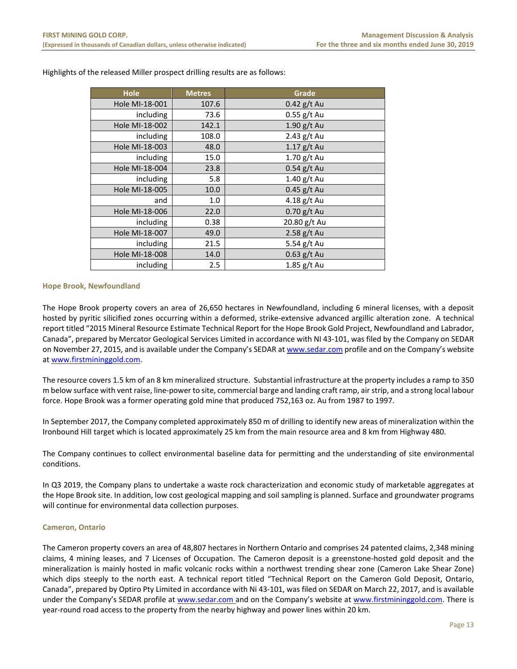| Hole           | <b>Metres</b> | Grade         |
|----------------|---------------|---------------|
| Hole MI-18-001 | 107.6         | $0.42$ g/t Au |
| including      | 73.6          | $0.55$ g/t Au |
| Hole MI-18-002 | 142.1         | $1.90$ g/t Au |
| including      | 108.0         | $2.43$ g/t Au |
| Hole MI-18-003 | 48.0          | $1.17$ g/t Au |
| including      | 15.0          | $1.70$ g/t Au |
| Hole MI-18-004 | 23.8          | $0.54$ g/t Au |
| including      | 5.8           | 1.40 g/t Au   |
| Hole MI-18-005 | 10.0          | $0.45$ g/t Au |
| and            | 1.0           | 4.18 g/t Au   |
| Hole MI-18-006 | 22.0          | $0.70$ g/t Au |
| including      | 0.38          | 20.80 g/t Au  |
| Hole MI-18-007 | 49.0          | $2.58$ g/t Au |
| including      | 21.5          | 5.54 g/t Au   |
| Hole MI-18-008 | 14.0          | $0.63$ g/t Au |
| including      | 2.5           | $1.85$ g/t Au |

Highlights of the released Miller prospect drilling results are as follows:

# **Hope Brook, Newfoundland**

The Hope Brook property covers an area of 26,650 hectares in Newfoundland, including 6 mineral licenses, with a deposit hosted by pyritic silicified zones occurring within a deformed, strike‐extensive advanced argillic alteration zone. A technical report titled "2015 Mineral Resource Estimate Technical Report for the Hope Brook Gold Project, Newfoundland and Labrador, Canada", prepared by Mercator Geological Services Limited in accordance with NI 43‐101, was filed by the Company on SEDAR on November 27, 2015, and is available under the Company's SEDAR at www.sedar.com profile and on the Company's website at www.firstmininggold.com.

The resource covers 1.5 km of an 8 km mineralized structure. Substantial infrastructure at the property includes a ramp to 350 m below surface with vent raise, line‐power to site, commercial barge and landing craft ramp, air strip, and a strong local labour force. Hope Brook was a former operating gold mine that produced 752,163 oz. Au from 1987 to 1997.

In September 2017, the Company completed approximately 850 m of drilling to identify new areas of mineralization within the Ironbound Hill target which is located approximately 25 km from the main resource area and 8 km from Highway 480.

The Company continues to collect environmental baseline data for permitting and the understanding of site environmental conditions.

In Q3 2019, the Company plans to undertake a waste rock characterization and economic study of marketable aggregates at the Hope Brook site. In addition, low cost geological mapping and soil sampling is planned. Surface and groundwater programs will continue for environmental data collection purposes.

# **Cameron, Ontario**

The Cameron property covers an area of 48,807 hectares in Northern Ontario and comprises 24 patented claims, 2,348 mining claims, 4 mining leases, and 7 Licenses of Occupation. The Cameron deposit is a greenstone‐hosted gold deposit and the mineralization is mainly hosted in mafic volcanic rocks within a northwest trending shear zone (Cameron Lake Shear Zone) which dips steeply to the north east. A technical report titled "Technical Report on the Cameron Gold Deposit, Ontario, Canada", prepared by Optiro Pty Limited in accordance with Ni 43‐101, was filed on SEDAR on March 22, 2017, and is available under the Company's SEDAR profile at www.sedar.com and on the Company's website at www.firstmininggold.com. There is year-round road access to the property from the nearby highway and power lines within 20 km.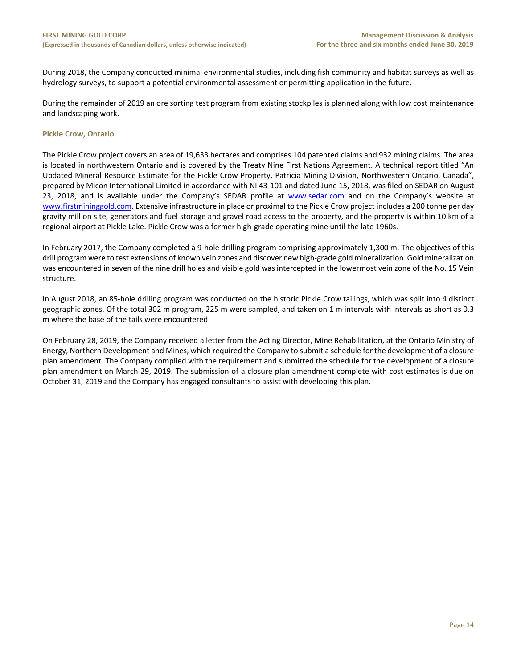During 2018, the Company conducted minimal environmental studies, including fish community and habitat surveys as well as hydrology surveys, to support a potential environmental assessment or permitting application in the future.

During the remainder of 2019 an ore sorting test program from existing stockpiles is planned along with low cost maintenance and landscaping work.

# **Pickle Crow, Ontario**

The Pickle Crow project covers an area of 19,633 hectares and comprises 104 patented claims and 932 mining claims. The area is located in northwestern Ontario and is covered by the Treaty Nine First Nations Agreement. A technical report titled "An Updated Mineral Resource Estimate for the Pickle Crow Property, Patricia Mining Division, Northwestern Ontario, Canada", prepared by Micon International Limited in accordance with NI 43‐101 and dated June 15, 2018, was filed on SEDAR on August 23, 2018, and is available under the Company's SEDAR profile at www.sedar.com and on the Company's website at www.firstmininggold.com. Extensive infrastructure in place or proximal to the Pickle Crow project includes a 200 tonne per day gravity mill on site, generators and fuel storage and gravel road access to the property, and the property is within 10 km of a regional airport at Pickle Lake. Pickle Crow was a former high‐grade operating mine until the late 1960s.

In February 2017, the Company completed a 9-hole drilling program comprising approximately 1,300 m. The objectives of this drill program were to test extensions of known vein zones and discover new high‐grade gold mineralization. Gold mineralization was encountered in seven of the nine drill holes and visible gold was intercepted in the lowermost vein zone of the No. 15 Vein structure.

In August 2018, an 85‐hole drilling program was conducted on the historic Pickle Crow tailings, which was split into 4 distinct geographic zones. Of the total 302 m program, 225 m were sampled, and taken on 1 m intervals with intervals as short as 0.3 m where the base of the tails were encountered.

On February 28, 2019, the Company received a letter from the Acting Director, Mine Rehabilitation, at the Ontario Ministry of Energy, Northern Development and Mines, which required the Company to submit a schedule for the development of a closure plan amendment. The Company complied with the requirement and submitted the schedule for the development of a closure plan amendment on March 29, 2019. The submission of a closure plan amendment complete with cost estimates is due on October 31, 2019 and the Company has engaged consultants to assist with developing this plan.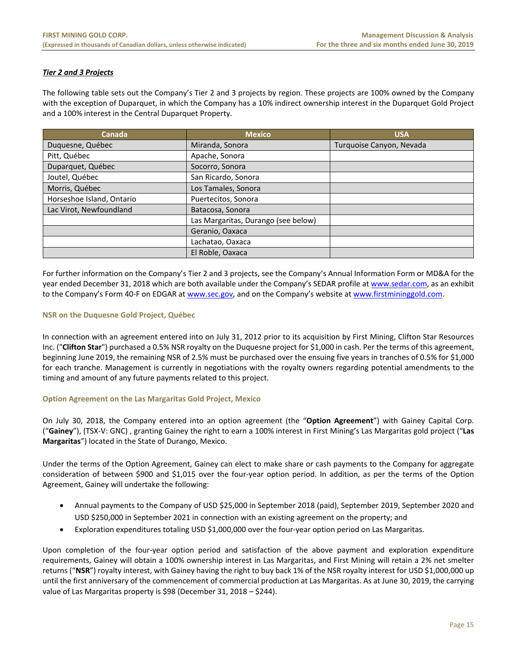# *Tier 2 and 3 Projects*

The following table sets out the Company's Tier 2 and 3 projects by region. These projects are 100% owned by the Company with the exception of Duparquet, in which the Company has a 10% indirect ownership interest in the Duparquet Gold Project and a 100% interest in the Central Duparquet Property.

| Canada                    | <b>Mexico</b>                       | <b>USA</b>               |
|---------------------------|-------------------------------------|--------------------------|
| Duquesne, Québec          | Miranda, Sonora                     | Turquoise Canyon, Nevada |
| Pitt, Québec              | Apache, Sonora                      |                          |
| Duparquet, Québec         | Socorro, Sonora                     |                          |
| Joutel, Québec            | San Ricardo, Sonora                 |                          |
| Morris, Québec            | Los Tamales, Sonora                 |                          |
| Horseshoe Island, Ontario | Puertecitos, Sonora                 |                          |
| Lac Virot, Newfoundland   | Batacosa, Sonora                    |                          |
|                           | Las Margaritas, Durango (see below) |                          |
|                           | Geranio, Oaxaca                     |                          |
|                           | Lachatao, Oaxaca                    |                          |
|                           | El Roble, Oaxaca                    |                          |

For further information on the Company's Tier 2 and 3 projects, see the Company's Annual Information Form or MD&A for the year ended December 31, 2018 which are both available under the Company's SEDAR profile at www.sedar.com, as an exhibit to the Company's Form 40-F on EDGAR at www.sec.gov, and on the Company's website at www.firstmininggold.com.

# **NSR on the Duquesne Gold Project, Québec**

In connection with an agreement entered into on July 31, 2012 prior to its acquisition by First Mining, Clifton Star Resources Inc. ("**Clifton Star**") purchased a 0.5% NSR royalty on the Duquesne project for \$1,000 in cash. Per the terms of this agreement, beginning June 2019, the remaining NSR of 2.5% must be purchased over the ensuing five years in tranches of 0.5% for \$1,000 for each tranche. Management is currently in negotiations with the royalty owners regarding potential amendments to the timing and amount of any future payments related to this project.

# **Option Agreement on the Las Margaritas Gold Project, Mexico**

On July 30, 2018, the Company entered into an option agreement (the "**Option Agreement**") with Gainey Capital Corp. ("**Gainey**"), (TSX‐V: GNC) , granting Gainey the right to earn a 100% interest in First Mining's Las Margaritas gold project ("**Las Margaritas**") located in the State of Durango, Mexico.

Under the terms of the Option Agreement, Gainey can elect to make share or cash payments to the Company for aggregate consideration of between \$900 and \$1,015 over the four-year option period. In addition, as per the terms of the Option Agreement, Gainey will undertake the following:

- Annual payments to the Company of USD \$25,000 in September 2018 (paid), September 2019, September 2020 and USD \$250,000 in September 2021 in connection with an existing agreement on the property; and
- Exploration expenditures totaling USD \$1,000,000 over the four-year option period on Las Margaritas.

Upon completion of the four-year option period and satisfaction of the above payment and exploration expenditure requirements, Gainey will obtain a 100% ownership interest in Las Margaritas, and First Mining will retain a 2% net smelter returns ("**NSR**") royalty interest, with Gainey having the right to buy back 1% of the NSR royalty interest for USD \$1,000,000 up until the first anniversary of the commencement of commercial production at Las Margaritas. As at June 30, 2019, the carrying value of Las Margaritas property is \$98 (December 31, 2018 – \$244).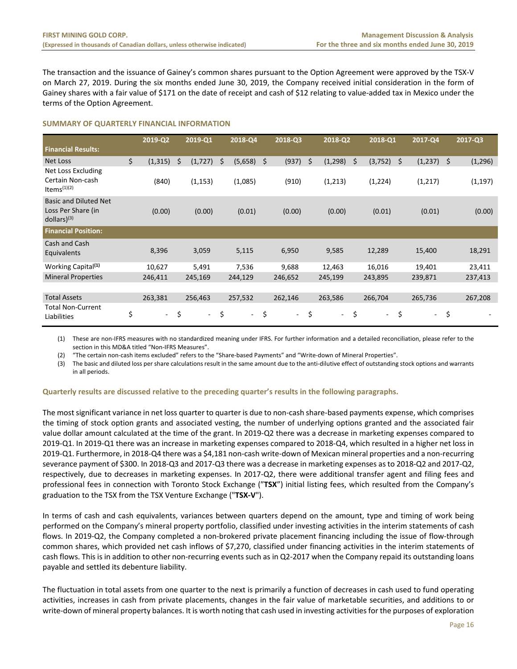The transaction and the issuance of Gainey's common shares pursuant to the Option Agreement were approved by the TSX‐V on March 27, 2019. During the six months ended June 30, 2019, the Company received initial consideration in the form of Gainey shares with a fair value of \$171 on the date of receipt and cash of \$12 relating to value‐added tax in Mexico under the terms of the Option Agreement.

# **SUMMARY OF QUARTERLY FINANCIAL INFORMATION**

|                                                                                 | 2019-Q2        | 2019-Q1                        |    | 2018-Q4 |    | 2018-Q3 | 2018-Q2                        | 2018-Q1        |         | 2017-Q4  | 2017-Q3        |
|---------------------------------------------------------------------------------|----------------|--------------------------------|----|---------|----|---------|--------------------------------|----------------|---------|----------|----------------|
| <b>Financial Results:</b>                                                       |                |                                |    |         |    |         |                                |                |         |          |                |
| Net Loss                                                                        | \$<br>(1, 315) | \$<br>(1, 727)                 | Ś  | (5,658) | Ŝ. | (937)   | \$<br>(1, 298)                 | \$<br>(3, 752) | $\zeta$ | (1, 237) | \$<br>(1, 296) |
| Net Loss Excluding<br>Certain Non-cash<br>Items $(1)(2)$                        | (840)          | (1, 153)                       |    | (1,085) |    | (910)   | (1,213)                        | (1,224)        |         | (1,217)  | (1, 197)       |
| <b>Basic and Diluted Net</b><br>Loss Per Share (in<br>$dollars)$ <sup>(3)</sup> | (0.00)         | (0.00)                         |    | (0.01)  |    | (0.00)  | (0.00)                         | (0.01)         |         | (0.01)   | (0.00)         |
| <b>Financial Position:</b>                                                      |                |                                |    |         |    |         |                                |                |         |          |                |
| Cash and Cash<br>Equivalents                                                    | 8,396          | 3,059                          |    | 5,115   |    | 6,950   | 9,585                          | 12,289         |         | 15,400   | 18,291         |
| Working Capital <sup>(1)</sup>                                                  | 10,627         | 5,491                          |    | 7,536   |    | 9,688   | 12,463                         | 16,016         |         | 19,401   | 23,411         |
| <b>Mineral Properties</b>                                                       | 246,411        | 245,169                        |    | 244,129 |    | 246,652 | 245,199                        | 243,895        |         | 239,871  | 237,413        |
|                                                                                 |                |                                |    |         |    |         |                                |                |         |          |                |
| <b>Total Assets</b>                                                             | 263,381        | 256,463                        |    | 257,532 |    | 262,146 | 263,586                        | 266,704        |         | 265,736  | 267,208        |
| <b>Total Non-Current</b><br>Liabilities                                         | \$<br>$\sim$   | \$<br>$\overline{\phantom{a}}$ | \$ | ٠       | \$ | $\sim$  | \$<br>$\overline{\phantom{a}}$ | \$<br>$\sim$   | \$      | $\sim$   | \$             |

(1) These are non‐IFRS measures with no standardized meaning under IFRS. For further information and a detailed reconciliation, please refer to the section in this MD&A titled "Non‐IFRS Measures".

(2) "The certain non‐cash items excluded" refers to the "Share‐based Payments" and "Write‐down of Mineral Properties".

(3) The basic and diluted loss per share calculations result in the same amount due to the anti‐dilutive effect of outstanding stock options and warrants in all periods.

# **Quarterly results are discussed relative to the preceding quarter's results in the following paragraphs.**

The most significant variance in net loss quarter to quarter is due to non‐cash share‐based payments expense, which comprises the timing of stock option grants and associated vesting, the number of underlying options granted and the associated fair value dollar amount calculated at the time of the grant. In 2019‐Q2 there was a decrease in marketing expenses compared to 2019‐Q1. In 2019‐Q1 there was an increase in marketing expenses compared to 2018‐Q4, which resulted in a higher net loss in 2019‐Q1. Furthermore, in 2018‐Q4 there was a \$4,181 non‐cash write‐down of Mexican mineral properties and a non‐recurring severance payment of \$300. In 2018‐Q3 and 2017‐Q3 there was a decrease in marketing expenses as to 2018‐Q2 and 2017‐Q2, respectively, due to decreases in marketing expenses. In 2017‐Q2, there were additional transfer agent and filing fees and professional fees in connection with Toronto Stock Exchange ("**TSX**") initial listing fees, which resulted from the Company's graduation to the TSX from the TSX Venture Exchange ("**TSX‐V**").

In terms of cash and cash equivalents, variances between quarters depend on the amount, type and timing of work being performed on the Company's mineral property portfolio, classified under investing activities in the interim statements of cash flows. In 2019‐Q2, the Company completed a non‐brokered private placement financing including the issue of flow‐through common shares, which provided net cash inflows of \$7,270, classified under financing activities in the interim statements of cash flows. This is in addition to other non-recurring events such as in Q2-2017 when the Company repaid its outstanding loans payable and settled its debenture liability.

The fluctuation in total assets from one quarter to the next is primarily a function of decreases in cash used to fund operating activities, increases in cash from private placements, changes in the fair value of marketable securities, and additions to or write-down of mineral property balances. It is worth noting that cash used in investing activities for the purposes of exploration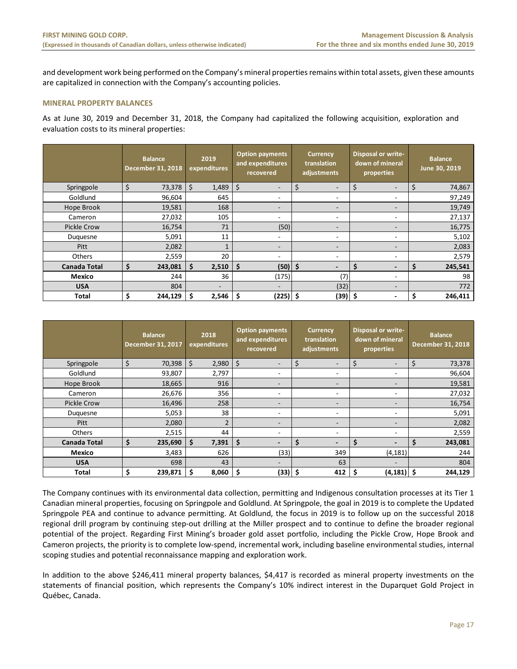and development work being performed on the Company's mineral properties remains within total assets, given these amounts are capitalized in connection with the Company's accounting policies.

# **MINERAL PROPERTY BALANCES**

As at June 30, 2019 and December 31, 2018, the Company had capitalized the following acquisition, exploration and evaluation costs to its mineral properties:

|                     | <b>Balance</b><br><b>December 31, 2018</b> |         | 2019<br>expenditures |    | <b>Option payments</b><br>and expenditures<br>recovered |    | <b>Currency</b><br>translation<br>adjustments |    | <b>Disposal or write-</b><br>down of mineral<br>properties |    | <b>Balance</b><br>June 30, 2019 |
|---------------------|--------------------------------------------|---------|----------------------|----|---------------------------------------------------------|----|-----------------------------------------------|----|------------------------------------------------------------|----|---------------------------------|
| Springpole          | \$<br>73,378                               | $\zeta$ | 1,489                | \$ |                                                         | Ś  |                                               | Ś  |                                                            | Ś  | 74,867                          |
| Goldlund            | 96,604                                     |         | 645                  |    | $\overline{\phantom{a}}$                                |    | $\overline{\phantom{a}}$                      |    | ۰                                                          |    | 97,249                          |
| Hope Brook          | 19,581                                     |         | 168                  |    | $\qquad \qquad$                                         |    | $\qquad \qquad \blacksquare$                  |    | -                                                          |    | 19,749                          |
| Cameron             | 27,032                                     |         | 105                  |    | ۰                                                       |    | $\overline{\phantom{a}}$                      |    | ۰                                                          |    | 27,137                          |
| <b>Pickle Crow</b>  | 16,754                                     |         | 71                   |    | (50)                                                    |    | $\overline{\phantom{a}}$                      |    | ۰.                                                         |    | 16,775                          |
| Duguesne            | 5,091                                      |         | 11                   |    | ۰                                                       |    | ۰                                             |    | ۰                                                          |    | 5,102                           |
| Pitt                | 2,082                                      |         |                      |    | $\qquad \qquad$                                         |    | $\overline{\phantom{a}}$                      |    | $\overline{\phantom{0}}$                                   |    | 2,083                           |
| <b>Others</b>       | 2,559                                      |         | 20                   |    | $\overline{\phantom{a}}$                                |    | $\overline{\phantom{a}}$                      |    | ۰                                                          |    | 2,579                           |
| <b>Canada Total</b> | \$<br>243,081                              | \$      | 2,510                | \$ | (50)                                                    | \$ | $\overline{\phantom{0}}$                      | Ŝ  | -                                                          | \$ | 245,541                         |
| Mexico              | 244                                        |         | 36                   |    | (175)                                                   |    | (7)                                           |    | ۰                                                          |    | 98                              |
| <b>USA</b>          | 804                                        |         | -                    |    | $\overline{\phantom{a}}$                                |    | (32)                                          |    | -                                                          |    | 772                             |
| Total               | \$<br>244,129                              | \$      | 2,546                | \$ | (225) \$                                                |    | (39)                                          | \$ | -                                                          |    | 246,411                         |

|                     | <b>Balance</b><br><b>December 31, 2017</b> |     | 2018<br>expenditures |     | <b>Option payments</b><br>and expenditures<br>recovered |    | <b>Currency</b><br>translation<br>adjustments |    | <b>Disposal or write-</b><br>down of mineral<br>properties |    | <b>Balance</b><br>December 31, 2018 |
|---------------------|--------------------------------------------|-----|----------------------|-----|---------------------------------------------------------|----|-----------------------------------------------|----|------------------------------------------------------------|----|-------------------------------------|
| Springpole          | \$<br>70,398                               | \$  | 2,980                | \$  | -                                                       | \$ | -                                             | \$ |                                                            | \$ | 73,378                              |
| Goldlund            | 93,807                                     |     | 2,797                |     | ٠                                                       |    | ۰                                             |    | $\overline{\phantom{a}}$                                   |    | 96,604                              |
| Hope Brook          | 18,665                                     |     | 916                  |     | ۰.                                                      |    | -                                             |    | $\overline{\phantom{a}}$                                   |    | 19,581                              |
| Cameron             | 26,676                                     |     | 356                  |     | ۰.                                                      |    | -                                             |    | -                                                          |    | 27,032                              |
| <b>Pickle Crow</b>  | 16,496                                     |     | 258                  |     | ٠                                                       |    | -                                             |    | $\overline{\phantom{a}}$                                   |    | 16,754                              |
| Duquesne            | 5,053                                      |     | 38                   |     | ۰.                                                      |    | ۰.                                            |    | -                                                          |    | 5,091                               |
| Pitt                | 2,080                                      |     | $\overline{2}$       |     | -                                                       |    | -                                             |    | $\overline{\phantom{0}}$                                   |    | 2,082                               |
| <b>Others</b>       | 2,515                                      |     | 44                   |     | ٠                                                       |    | ۰                                             |    | ٠                                                          |    | 2,559                               |
| <b>Canada Total</b> | \$<br>235,690                              | Ś.  | 7,391                | \$  | $\overline{\phantom{a}}$                                | \$ | $\overline{\phantom{0}}$                      | \$ | $\overline{\phantom{0}}$                                   | Ś  | 243,081                             |
| Mexico              | 3,483                                      |     | 626                  |     | (33)                                                    |    | 349                                           |    | (4, 181)                                                   |    | 244                                 |
| <b>USA</b>          | 698                                        |     | 43                   |     | Ξ.                                                      |    | 63                                            |    | $\overline{\phantom{a}}$                                   |    | 804                                 |
| <b>Total</b>        | \$<br>239,871                              | \$. | 8,060                | \$. | $(33)$ \$                                               |    | 412                                           | \$ | $(4, 181)$ \$                                              |    | 244,129                             |

The Company continues with its environmental data collection, permitting and Indigenous consultation processes at its Tier 1 Canadian mineral properties, focusing on Springpole and Goldlund. At Springpole, the goal in 2019 is to complete the Updated Springpole PEA and continue to advance permitting. At Goldlund, the focus in 2019 is to follow up on the successful 2018 regional drill program by continuing step-out drilling at the Miller prospect and to continue to define the broader regional potential of the project. Regarding First Mining's broader gold asset portfolio, including the Pickle Crow, Hope Brook and Cameron projects, the priority is to complete low‐spend, incremental work, including baseline environmental studies, internal scoping studies and potential reconnaissance mapping and exploration work.

In addition to the above \$246,411 mineral property balances, \$4,417 is recorded as mineral property investments on the statements of financial position, which represents the Company's 10% indirect interest in the Duparquet Gold Project in Québec, Canada.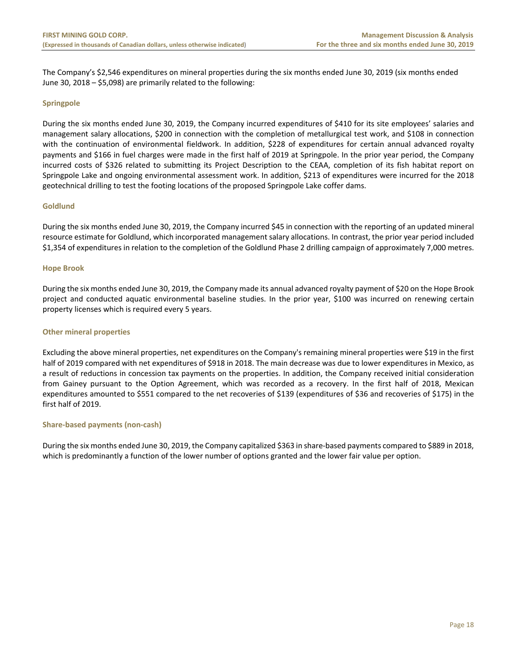The Company's \$2,546 expenditures on mineral properties during the six months ended June 30, 2019 (six months ended June 30, 2018 – \$5,098) are primarily related to the following:

# **Springpole**

During the six months ended June 30, 2019, the Company incurred expenditures of \$410 for its site employees' salaries and management salary allocations, \$200 in connection with the completion of metallurgical test work, and \$108 in connection with the continuation of environmental fieldwork. In addition, \$228 of expenditures for certain annual advanced royalty payments and \$166 in fuel charges were made in the first half of 2019 at Springpole. In the prior year period, the Company incurred costs of \$326 related to submitting its Project Description to the CEAA, completion of its fish habitat report on Springpole Lake and ongoing environmental assessment work. In addition, \$213 of expenditures were incurred for the 2018 geotechnical drilling to test the footing locations of the proposed Springpole Lake coffer dams.

# **Goldlund**

During the six months ended June 30, 2019, the Company incurred \$45 in connection with the reporting of an updated mineral resource estimate for Goldlund, which incorporated management salary allocations. In contrast, the prior year period included \$1,354 of expenditures in relation to the completion of the Goldlund Phase 2 drilling campaign of approximately 7,000 metres.

# **Hope Brook**

During the six months ended June 30, 2019, the Company made its annual advanced royalty payment of \$20 on the Hope Brook project and conducted aquatic environmental baseline studies. In the prior year, \$100 was incurred on renewing certain property licenses which is required every 5 years.

# **Other mineral properties**

Excluding the above mineral properties, net expenditures on the Company's remaining mineral properties were \$19 in the first half of 2019 compared with net expenditures of \$918 in 2018. The main decrease was due to lower expenditures in Mexico, as a result of reductions in concession tax payments on the properties. In addition, the Company received initial consideration from Gainey pursuant to the Option Agreement, which was recorded as a recovery. In the first half of 2018, Mexican expenditures amounted to \$551 compared to the net recoveries of \$139 (expenditures of \$36 and recoveries of \$175) in the first half of 2019.

# **Share‐based payments (non‐cash)**

During the six months ended June 30, 2019, the Company capitalized \$363 in share-based payments compared to \$889 in 2018, which is predominantly a function of the lower number of options granted and the lower fair value per option.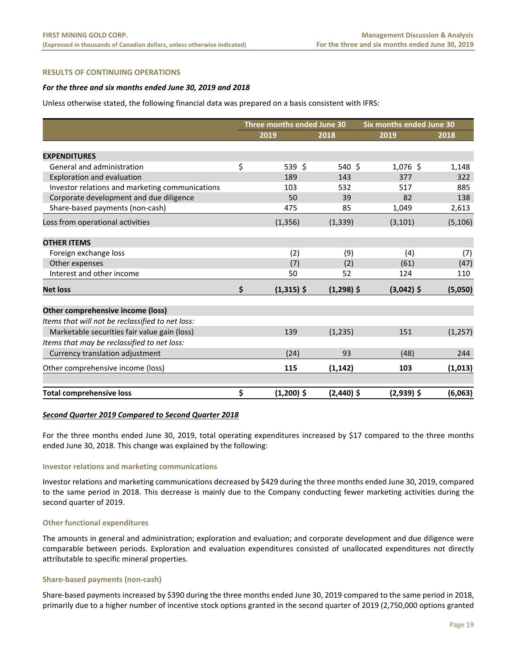## **RESULTS OF CONTINUING OPERATIONS**

#### *For the three and six months ended June 30, 2019 and 2018*

Unless otherwise stated, the following financial data was prepared on a basis consistent with IFRS:

|                                                  | Three months ended June 30 |              |          |              | Six months ended June 30 |          |  |
|--------------------------------------------------|----------------------------|--------------|----------|--------------|--------------------------|----------|--|
|                                                  | 2019                       |              | 2018     |              | 2019                     | 2018     |  |
|                                                  |                            |              |          |              |                          |          |  |
| <b>EXPENDITURES</b>                              |                            |              |          |              |                          |          |  |
| General and administration                       | \$                         | 539 \$       |          | 540 \$       | $1,076$ \$               | 1,148    |  |
| Exploration and evaluation                       |                            | 189          |          | 143          | 377                      | 322      |  |
| Investor relations and marketing communications  |                            | 103          |          | 532          | 517                      | 885      |  |
| Corporate development and due diligence          |                            | 50           |          | 39           | 82                       | 138      |  |
| Share-based payments (non-cash)                  |                            | 475          |          | 85           | 1,049                    | 2,613    |  |
| Loss from operational activities                 |                            | (1, 356)     | (1, 339) |              | (3, 101)                 | (5, 106) |  |
| <b>OTHER ITEMS</b>                               |                            |              |          |              |                          |          |  |
| Foreign exchange loss                            |                            | (2)          |          | (9)          | (4)                      | (7)      |  |
| Other expenses                                   |                            | (7)          |          | (2)          | (61)                     | (47)     |  |
| Interest and other income                        |                            | 50           |          | 52           | 124                      | 110      |  |
| <b>Net loss</b>                                  | \$                         | $(1,315)$ \$ |          | $(1,298)$ \$ | $(3,042)$ \$             | (5,050)  |  |
| Other comprehensive income (loss)                |                            |              |          |              |                          |          |  |
| Items that will not be reclassified to net loss: |                            |              |          |              |                          |          |  |
| Marketable securities fair value gain (loss)     |                            | 139          | (1, 235) |              | 151                      | (1, 257) |  |
| Items that may be reclassified to net loss:      |                            |              |          |              |                          |          |  |
|                                                  |                            |              |          | 93           |                          | 244      |  |
| Currency translation adjustment                  |                            | (24)         |          |              | (48)                     |          |  |
| Other comprehensive income (loss)                |                            | 115          | (1, 142) |              | 103                      | (1,013)  |  |
|                                                  |                            |              |          |              |                          |          |  |
| <b>Total comprehensive loss</b>                  | \$                         | $(1,200)$ \$ |          | $(2,440)$ \$ | $(2,939)$ \$             | (6,063)  |  |

#### *Second Quarter 2019 Compared to Second Quarter 2018*

For the three months ended June 30, 2019, total operating expenditures increased by \$17 compared to the three months ended June 30, 2018. This change was explained by the following:

#### **Investor relations and marketing communications**

Investor relations and marketing communications decreased by \$429 during the three months ended June 30, 2019, compared to the same period in 2018. This decrease is mainly due to the Company conducting fewer marketing activities during the second quarter of 2019.

#### **Other functional expenditures**

The amounts in general and administration; exploration and evaluation; and corporate development and due diligence were comparable between periods. Exploration and evaluation expenditures consisted of unallocated expenditures not directly attributable to specific mineral properties.

#### **Share‐based payments (non‐cash)**

Share-based payments increased by \$390 during the three months ended June 30, 2019 compared to the same period in 2018, primarily due to a higher number of incentive stock options granted in the second quarter of 2019 (2,750,000 options granted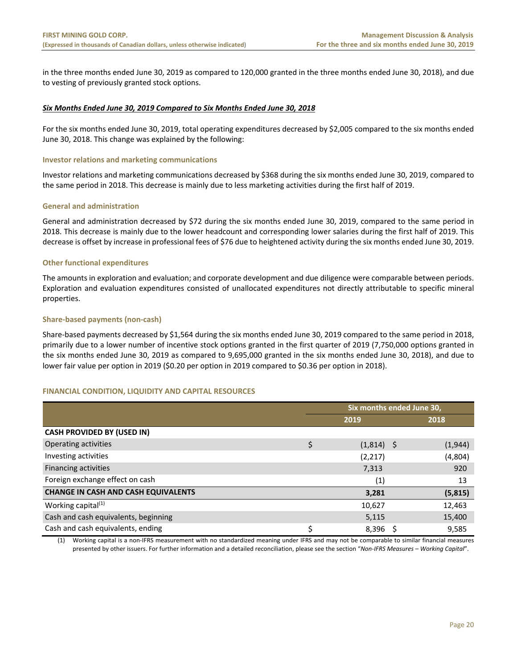in the three months ended June 30, 2019 as compared to 120,000 granted in the three months ended June 30, 2018), and due to vesting of previously granted stock options.

# *Six Months Ended June 30, 2019 Compared to Six Months Ended June 30, 2018*

For the six months ended June 30, 2019, total operating expenditures decreased by \$2,005 compared to the six months ended June 30, 2018. This change was explained by the following:

# **Investor relations and marketing communications**

Investor relations and marketing communications decreased by \$368 during the six months ended June 30, 2019, compared to the same period in 2018. This decrease is mainly due to less marketing activities during the first half of 2019.

# **General and administration**

General and administration decreased by \$72 during the six months ended June 30, 2019, compared to the same period in 2018. This decrease is mainly due to the lower headcount and corresponding lower salaries during the first half of 2019. This decrease is offset by increase in professional fees of \$76 due to heightened activity during the six months ended June 30, 2019.

# **Other functional expenditures**

The amounts in exploration and evaluation; and corporate development and due diligence were comparable between periods. Exploration and evaluation expenditures consisted of unallocated expenditures not directly attributable to specific mineral properties.

# **Share‐based payments (non‐cash)**

Share-based payments decreased by \$1,564 during the six months ended June 30, 2019 compared to the same period in 2018, primarily due to a lower number of incentive stock options granted in the first quarter of 2019 (7,750,000 options granted in the six months ended June 30, 2019 as compared to 9,695,000 granted in the six months ended June 30, 2018), and due to lower fair value per option in 2019 (\$0.20 per option in 2019 compared to \$0.36 per option in 2018).

# **FINANCIAL CONDITION, LIQUIDITY AND CAPITAL RESOURCES**

|                                            |    | Six months ended June 30, |      |          |  |  |  |  |
|--------------------------------------------|----|---------------------------|------|----------|--|--|--|--|
|                                            |    | 2019                      | 2018 |          |  |  |  |  |
| <b>CASH PROVIDED BY (USED IN)</b>          |    |                           |      |          |  |  |  |  |
| Operating activities                       | \$ | $(1,814)$ \$              |      | (1,944)  |  |  |  |  |
| Investing activities                       |    | (2,217)                   |      | (4,804)  |  |  |  |  |
| Financing activities                       |    | 7,313                     |      | 920      |  |  |  |  |
| Foreign exchange effect on cash            |    | (1)                       |      | 13       |  |  |  |  |
| <b>CHANGE IN CASH AND CASH EQUIVALENTS</b> |    | 3,281                     |      | (5, 815) |  |  |  |  |
| Working capital $(1)$                      |    | 10,627                    |      | 12,463   |  |  |  |  |
| Cash and cash equivalents, beginning       |    | 5,115                     |      | 15,400   |  |  |  |  |
| Cash and cash equivalents, ending          | Ś  | $8,396$ \$                |      | 9,585    |  |  |  |  |

(1) Working capital is a non‐IFRS measurement with no standardized meaning under IFRS and may not be comparable to similar financial measures presented by other issuers. For further information and a detailed reconciliation, please see the section "*Non‐IFRS Measures – Working Capital*".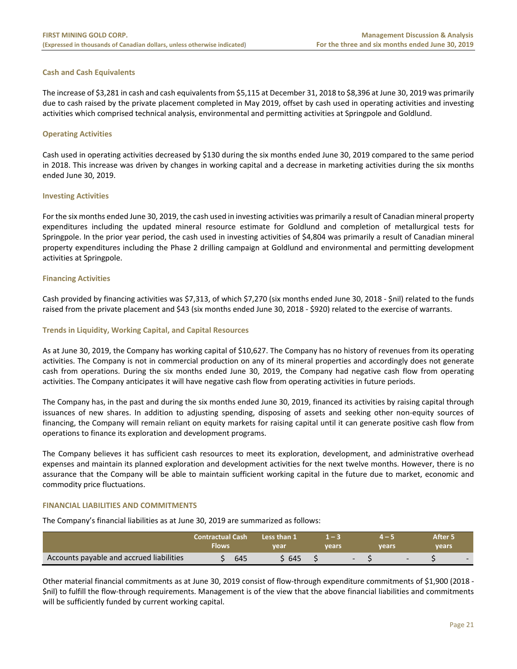# **Cash and Cash Equivalents**

The increase of \$3,281 in cash and cash equivalents from \$5,115 at December 31, 2018 to \$8,396 at June 30, 2019 was primarily due to cash raised by the private placement completed in May 2019, offset by cash used in operating activities and investing activities which comprised technical analysis, environmental and permitting activities at Springpole and Goldlund.

# **Operating Activities**

Cash used in operating activities decreased by \$130 during the six months ended June 30, 2019 compared to the same period in 2018. This increase was driven by changes in working capital and a decrease in marketing activities during the six months ended June 30, 2019.

# **Investing Activities**

For the six months ended June 30, 2019, the cash used in investing activities was primarily a result of Canadian mineral property expenditures including the updated mineral resource estimate for Goldlund and completion of metallurgical tests for Springpole. In the prior year period, the cash used in investing activities of \$4,804 was primarily a result of Canadian mineral property expenditures including the Phase 2 drilling campaign at Goldlund and environmental and permitting development activities at Springpole.

# **Financing Activities**

Cash provided by financing activities was \$7,313, of which \$7,270 (six months ended June 30, 2018 ‐ \$nil) related to the funds raised from the private placement and \$43 (six months ended June 30, 2018 ‐ \$920) related to the exercise of warrants.

# **Trends in Liquidity, Working Capital, and Capital Resources**

As at June 30, 2019, the Company has working capital of \$10,627. The Company has no history of revenues from its operating activities. The Company is not in commercial production on any of its mineral properties and accordingly does not generate cash from operations. During the six months ended June 30, 2019, the Company had negative cash flow from operating activities. The Company anticipates it will have negative cash flow from operating activities in future periods.

The Company has, in the past and during the six months ended June 30, 2019, financed its activities by raising capital through issuances of new shares. In addition to adjusting spending, disposing of assets and seeking other non-equity sources of financing, the Company will remain reliant on equity markets for raising capital until it can generate positive cash flow from operations to finance its exploration and development programs.

The Company believes it has sufficient cash resources to meet its exploration, development, and administrative overhead expenses and maintain its planned exploration and development activities for the next twelve months. However, there is no assurance that the Company will be able to maintain sufficient working capital in the future due to market, economic and commodity price fluctuations.

# **FINANCIAL LIABILITIES AND COMMITMENTS**

The Company's financial liabilities as at June 30, 2019 are summarized as follows:

|                                          | <b>Contractual Cash</b><br>Flows | Less than 1<br>vear | <b>vears</b> | vears |  | After 5<br>years |        |
|------------------------------------------|----------------------------------|---------------------|--------------|-------|--|------------------|--------|
| Accounts payable and accrued liabilities | 645                              | 645                 |              |       |  |                  | $\sim$ |

Other material financial commitments as at June 30, 2019 consist of flow‐through expenditure commitments of \$1,900 (2018 ‐ \$nil) to fulfill the flow‐through requirements. Management is of the view that the above financial liabilities and commitments will be sufficiently funded by current working capital.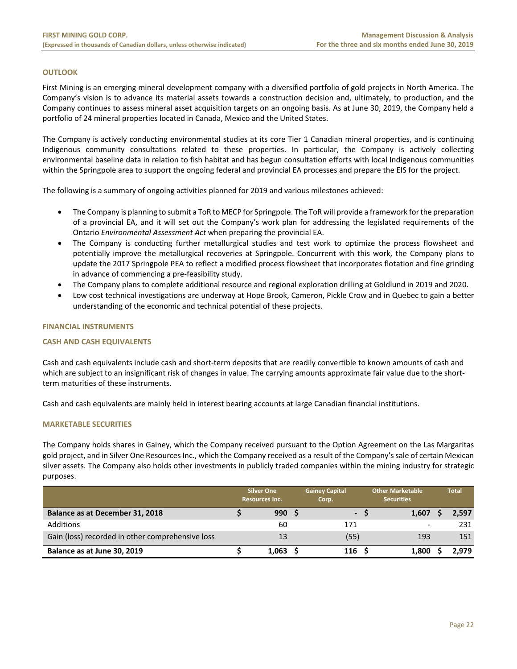# **OUTLOOK**

First Mining is an emerging mineral development company with a diversified portfolio of gold projects in North America. The Company's vision is to advance its material assets towards a construction decision and, ultimately, to production, and the Company continues to assess mineral asset acquisition targets on an ongoing basis. As at June 30, 2019, the Company held a portfolio of 24 mineral properties located in Canada, Mexico and the United States.

The Company is actively conducting environmental studies at its core Tier 1 Canadian mineral properties, and is continuing Indigenous community consultations related to these properties. In particular, the Company is actively collecting environmental baseline data in relation to fish habitat and has begun consultation efforts with local Indigenous communities within the Springpole area to support the ongoing federal and provincial EA processes and prepare the EIS for the project.

The following is a summary of ongoing activities planned for 2019 and various milestones achieved:

- The Company is planning to submit a ToR to MECP for Springpole. The ToR will provide a framework for the preparation of a provincial EA, and it will set out the Company's work plan for addressing the legislated requirements of the Ontario *Environmental Assessment Act* when preparing the provincial EA.
- The Company is conducting further metallurgical studies and test work to optimize the process flowsheet and potentially improve the metallurgical recoveries at Springpole. Concurrent with this work, the Company plans to update the 2017 Springpole PEA to reflect a modified process flowsheet that incorporates flotation and fine grinding in advance of commencing a pre‐feasibility study.
- The Company plans to complete additional resource and regional exploration drilling at Goldlund in 2019 and 2020.
- Low cost technical investigations are underway at Hope Brook, Cameron, Pickle Crow and in Quebec to gain a better understanding of the economic and technical potential of these projects.

# **FINANCIAL INSTRUMENTS**

# **CASH AND CASH EQUIVALENTS**

Cash and cash equivalents include cash and short‐term deposits that are readily convertible to known amounts of cash and which are subject to an insignificant risk of changes in value. The carrying amounts approximate fair value due to the shortterm maturities of these instruments.

Cash and cash equivalents are mainly held in interest bearing accounts at large Canadian financial institutions.

# **MARKETABLE SECURITIES**

The Company holds shares in Gainey, which the Company received pursuant to the Option Agreement on the Las Margaritas gold project, and in Silver One Resources Inc., which the Company received as a result of the Company's sale of certain Mexican silver assets. The Company also holds other investments in publicly traded companies within the mining industry for strategic purposes.

|                                                  | <b>Silver One</b><br><b>Resources Inc.</b> | <b>Gainey Capital</b><br>Corp. | <b>Other Marketable</b><br><b>Securities</b> |       | <b>Total</b> |
|--------------------------------------------------|--------------------------------------------|--------------------------------|----------------------------------------------|-------|--------------|
| Balance as at December 31, 2018                  | 990S                                       | $\sim$                         |                                              | 1,607 | 2,597        |
| <b>Additions</b>                                 | 60                                         | 171                            |                                              | -     | 231          |
| Gain (loss) recorded in other comprehensive loss | 13                                         | (55)                           |                                              | 193   | 151          |
| Balance as at June 30, 2019                      | 1,063                                      | 116                            |                                              | 1,800 | 2.979        |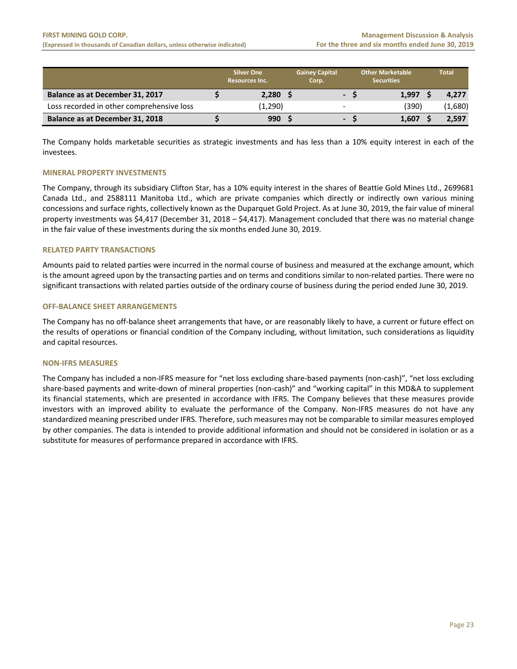|                                           | <b>Silver One</b><br><b>Resources Inc.</b> | <b>Gainey Capital</b><br>Corp. |   |     | <b>Other Marketable</b><br><b>Securities</b> | <b>Total</b> |
|-------------------------------------------|--------------------------------------------|--------------------------------|---|-----|----------------------------------------------|--------------|
| Balance as at December 31, 2017           | 2,280                                      |                                |   | - S | 1.997                                        | 4.277        |
| Loss recorded in other comprehensive loss | (1,290)                                    |                                | - |     | (390)                                        | (1,680)      |
| Balance as at December 31, 2018           | 990                                        |                                |   |     | 1,607                                        | 2,597        |

The Company holds marketable securities as strategic investments and has less than a 10% equity interest in each of the investees.

# **MINERAL PROPERTY INVESTMENTS**

The Company, through its subsidiary Clifton Star, has a 10% equity interest in the shares of Beattie Gold Mines Ltd., 2699681 Canada Ltd., and 2588111 Manitoba Ltd., which are private companies which directly or indirectly own various mining concessions and surface rights, collectively known as the Duparquet Gold Project. As at June 30, 2019, the fair value of mineral property investments was \$4,417 (December 31, 2018 – \$4,417). Management concluded that there was no material change in the fair value of these investments during the six months ended June 30, 2019.

# **RELATED PARTY TRANSACTIONS**

Amounts paid to related parties were incurred in the normal course of business and measured at the exchange amount, which is the amount agreed upon by the transacting parties and on terms and conditions similar to non-related parties. There were no significant transactions with related parties outside of the ordinary course of business during the period ended June 30, 2019.

# **OFF‐BALANCE SHEET ARRANGEMENTS**

The Company has no off‐balance sheet arrangements that have, or are reasonably likely to have, a current or future effect on the results of operations or financial condition of the Company including, without limitation, such considerations as liquidity and capital resources.

# **NON‐IFRS MEASURES**

The Company has included a non‐IFRS measure for "net loss excluding share‐based payments (non‐cash)", "net loss excluding share-based payments and write-down of mineral properties (non-cash)" and "working capital" in this MD&A to supplement its financial statements, which are presented in accordance with IFRS. The Company believes that these measures provide investors with an improved ability to evaluate the performance of the Company. Non‐IFRS measures do not have any standardized meaning prescribed under IFRS. Therefore, such measures may not be comparable to similar measures employed by other companies. The data is intended to provide additional information and should not be considered in isolation or as a substitute for measures of performance prepared in accordance with IFRS.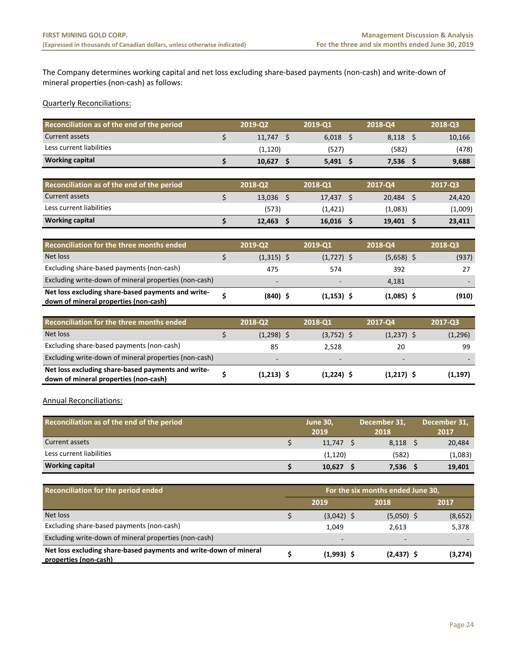The Company determines working capital and net loss excluding share‐based payments (non‐cash) and write‐down of mineral properties (non‐cash) as follows:

# Quarterly Reconciliations:

| Reconciliation as of the end of the period | 2019-02  | 2019-01 | 2018-04 | 2018-03 |
|--------------------------------------------|----------|---------|---------|---------|
| Current assets                             | 11.747   | 6.018   | 8.118   | 10,166  |
| Less current liabilities                   | (1, 120) | (527)   | (582)   | (478)   |
| <b>Working capital</b>                     | 10.627   | 5,491   | 7,536   | 9,688   |

| Reconciliation as of the end of the period | 2018-Q2 | 2018-01 | 2017-04 | 2017-03 |
|--------------------------------------------|---------|---------|---------|---------|
| Current assets                             | 13.036  | 17.437  | 20.484  | 24.420  |
| Less current liabilities                   | (573)   | (1,421) | (1,083) | (1,009) |
| <b>Working capital</b>                     | 12.463  | 16,016  | 19,401  | 23,411  |

| Reconciliation for the three months ended                                                   | 2019-Q2                  | 2019-Q1                  | 2018-Q4      | 2018-03 |
|---------------------------------------------------------------------------------------------|--------------------------|--------------------------|--------------|---------|
| Net loss                                                                                    | $(1,315)$ \$             | $(1,727)$ \$             | $(5,658)$ \$ | (937)   |
| Excluding share-based payments (non-cash)                                                   | 475                      | 574                      | 392          |         |
| Excluding write-down of mineral properties (non-cash)                                       | $\overline{\phantom{a}}$ | $\overline{\phantom{0}}$ | 4.181        |         |
| Net loss excluding share-based payments and write-<br>down of mineral properties (non-cash) | $(840)$ \$               | $(1, 153)$ \$            | $(1,085)$ \$ | (910)   |

| Reconciliation for the three months ended                                                   | 2018-Q2                  | 2018-Q1                  | <b>2017-04</b>           | 2017-03  |
|---------------------------------------------------------------------------------------------|--------------------------|--------------------------|--------------------------|----------|
| Net loss                                                                                    | $(1,298)$ \$             | $(3,752)$ \$             | $(1,237)$ \$             | (1, 296) |
| Excluding share-based payments (non-cash)                                                   | 85                       | 2.528                    | 20                       | 99       |
| Excluding write-down of mineral properties (non-cash)                                       | $\overline{\phantom{a}}$ | $\overline{\phantom{0}}$ | $\overline{\phantom{a}}$ |          |
| Net loss excluding share-based payments and write-<br>down of mineral properties (non-cash) | $(1,213)$ \$             | $(1,224)$ \$             | $(1,217)$ \$             | (1,197)  |

Annual Reconciliations:

| Reconciliation as of the end of the period | <b>June 30,</b><br>2019 | December 31.<br>2018 | December 31,<br>2017 |
|--------------------------------------------|-------------------------|----------------------|----------------------|
| Current assets                             | 11.747                  | 8,118                | 20,484               |
| Less current liabilities                   | (1, 120)                | (582)                | (1,083)              |
| <b>Working capital</b>                     | 10,627                  | 7,536                | 19,401               |

| <b>Reconciliation for the period ended</b>                                                 | For the six months ended June 30, |                          |                          |         |  |  |  |  |  |
|--------------------------------------------------------------------------------------------|-----------------------------------|--------------------------|--------------------------|---------|--|--|--|--|--|
|                                                                                            |                                   | 2019                     | 2018                     | 2017    |  |  |  |  |  |
| Net loss                                                                                   |                                   | $(3,042)$ \$             | $(5,050)$ \$             | (8,652) |  |  |  |  |  |
| Excluding share-based payments (non-cash)                                                  |                                   | 1.049                    | 2.613                    | 5,378   |  |  |  |  |  |
| Excluding write-down of mineral properties (non-cash)                                      |                                   | $\overline{\phantom{0}}$ | $\overline{\phantom{a}}$ |         |  |  |  |  |  |
| Net loss excluding share-based payments and write-down of mineral<br>properties (non-cash) |                                   | $(1,993)$ \$             | $(2,437)$ \$             | (3,274) |  |  |  |  |  |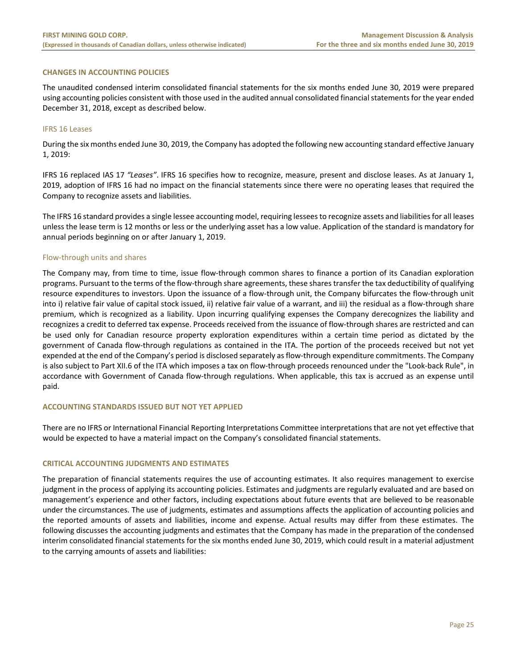# **CHANGES IN ACCOUNTING POLICIES**

The unaudited condensed interim consolidated financial statements for the six months ended June 30, 2019 were prepared using accounting policies consistent with those used in the audited annual consolidated financial statements for the year ended December 31, 2018, except as described below.

# IFRS 16 Leases

During the six months ended June 30, 2019, the Company has adopted the following new accounting standard effective January 1, 2019:

IFRS 16 replaced IAS 17 *"Leases"*. IFRS 16 specifies how to recognize, measure, present and disclose leases. As at January 1, 2019, adoption of IFRS 16 had no impact on the financial statements since there were no operating leases that required the Company to recognize assets and liabilities.

The IFRS 16 standard provides a single lessee accounting model, requiring lessees to recognize assets and liabilities for all leases unless the lease term is 12 months or less or the underlying asset has a low value. Application of the standard is mandatory for annual periods beginning on or after January 1, 2019.

# Flow‐through units and shares

The Company may, from time to time, issue flow-through common shares to finance a portion of its Canadian exploration programs. Pursuant to the terms of the flow‐through share agreements, these shares transfer the tax deductibility of qualifying resource expenditures to investors. Upon the issuance of a flow-through unit, the Company bifurcates the flow-through unit into i) relative fair value of capital stock issued, ii) relative fair value of a warrant, and iii) the residual as a flow‐through share premium, which is recognized as a liability. Upon incurring qualifying expenses the Company derecognizes the liability and recognizes a credit to deferred tax expense. Proceeds received from the issuance of flow‐through shares are restricted and can be used only for Canadian resource property exploration expenditures within a certain time period as dictated by the government of Canada flow-through regulations as contained in the ITA. The portion of the proceeds received but not yet expended at the end of the Company's period is disclosed separately as flow‐through expenditure commitments. The Company is also subject to Part XII.6 of the ITA which imposes a tax on flow-through proceeds renounced under the "Look-back Rule", in accordance with Government of Canada flow-through regulations. When applicable, this tax is accrued as an expense until paid.

# **ACCOUNTING STANDARDS ISSUED BUT NOT YET APPLIED**

There are no IFRS or International Financial Reporting Interpretations Committee interpretations that are not yet effective that would be expected to have a material impact on the Company's consolidated financial statements.

# **CRITICAL ACCOUNTING JUDGMENTS AND ESTIMATES**

The preparation of financial statements requires the use of accounting estimates. It also requires management to exercise judgment in the process of applying its accounting policies. Estimates and judgments are regularly evaluated and are based on management's experience and other factors, including expectations about future events that are believed to be reasonable under the circumstances. The use of judgments, estimates and assumptions affects the application of accounting policies and the reported amounts of assets and liabilities, income and expense. Actual results may differ from these estimates. The following discusses the accounting judgments and estimates that the Company has made in the preparation of the condensed interim consolidated financial statements for the six months ended June 30, 2019, which could result in a material adjustment to the carrying amounts of assets and liabilities: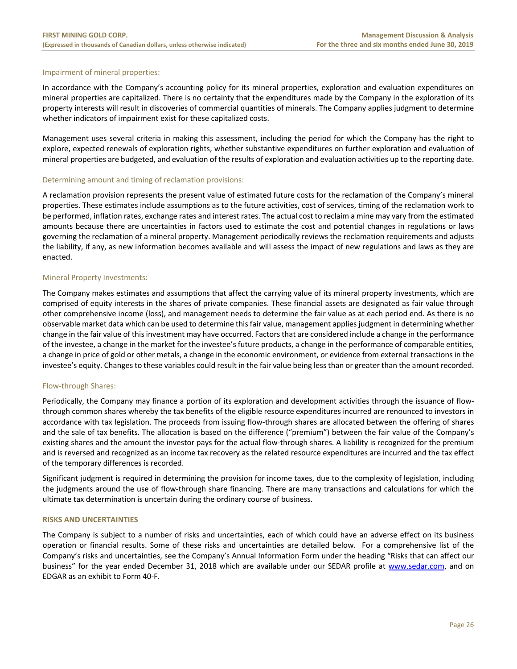# Impairment of mineral properties:

In accordance with the Company's accounting policy for its mineral properties, exploration and evaluation expenditures on mineral properties are capitalized. There is no certainty that the expenditures made by the Company in the exploration of its property interests will result in discoveries of commercial quantities of minerals. The Company applies judgment to determine whether indicators of impairment exist for these capitalized costs.

Management uses several criteria in making this assessment, including the period for which the Company has the right to explore, expected renewals of exploration rights, whether substantive expenditures on further exploration and evaluation of mineral properties are budgeted, and evaluation of the results of exploration and evaluation activities up to the reporting date.

# Determining amount and timing of reclamation provisions:

A reclamation provision represents the present value of estimated future costs for the reclamation of the Company's mineral properties. These estimates include assumptions as to the future activities, cost of services, timing of the reclamation work to be performed, inflation rates, exchange rates and interest rates. The actual cost to reclaim a mine may vary from the estimated amounts because there are uncertainties in factors used to estimate the cost and potential changes in regulations or laws governing the reclamation of a mineral property. Management periodically reviews the reclamation requirements and adjusts the liability, if any, as new information becomes available and will assess the impact of new regulations and laws as they are enacted.

#### Mineral Property Investments:

The Company makes estimates and assumptions that affect the carrying value of its mineral property investments, which are comprised of equity interests in the shares of private companies. These financial assets are designated as fair value through other comprehensive income (loss), and management needs to determine the fair value as at each period end. As there is no observable market data which can be used to determine this fair value, management applies judgment in determining whether change in the fair value of this investment may have occurred. Factors that are considered include a change in the performance of the investee, a change in the market for the investee's future products, a change in the performance of comparable entities, a change in price of gold or other metals, a change in the economic environment, or evidence from external transactions in the investee's equity. Changes to these variables could result in the fair value being less than or greater than the amount recorded.

# Flow‐through Shares:

Periodically, the Company may finance a portion of its exploration and development activities through the issuance of flow‐ through common shares whereby the tax benefits of the eligible resource expenditures incurred are renounced to investors in accordance with tax legislation. The proceeds from issuing flow-through shares are allocated between the offering of shares and the sale of tax benefits. The allocation is based on the difference ("premium") between the fair value of the Company's existing shares and the amount the investor pays for the actual flow-through shares. A liability is recognized for the premium and is reversed and recognized as an income tax recovery as the related resource expenditures are incurred and the tax effect of the temporary differences is recorded.

Significant judgment is required in determining the provision for income taxes, due to the complexity of legislation, including the judgments around the use of flow‐through share financing. There are many transactions and calculations for which the ultimate tax determination is uncertain during the ordinary course of business.

# **RISKS AND UNCERTAINTIES**

The Company is subject to a number of risks and uncertainties, each of which could have an adverse effect on its business operation or financial results. Some of these risks and uncertainties are detailed below. For a comprehensive list of the Company's risks and uncertainties, see the Company's Annual Information Form under the heading "Risks that can affect our business" for the year ended December 31, 2018 which are available under our SEDAR profile at www.sedar.com, and on EDGAR as an exhibit to Form 40‐F.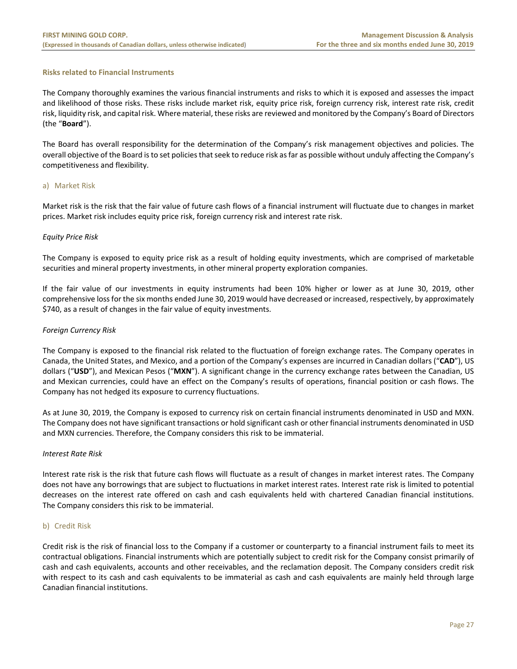# **Risks related to Financial Instruments**

The Company thoroughly examines the various financial instruments and risks to which it is exposed and assesses the impact and likelihood of those risks. These risks include market risk, equity price risk, foreign currency risk, interest rate risk, credit risk, liquidity risk, and capital risk. Where material, these risks are reviewed and monitored by the Company's Board of Directors (the "**Board**").

The Board has overall responsibility for the determination of the Company's risk management objectives and policies. The overall objective of the Board is to set policies that seek to reduce risk as far as possible without unduly affecting the Company's competitiveness and flexibility.

# a) Market Risk

Market risk is the risk that the fair value of future cash flows of a financial instrument will fluctuate due to changes in market prices. Market risk includes equity price risk, foreign currency risk and interest rate risk.

# *Equity Price Risk*

The Company is exposed to equity price risk as a result of holding equity investments, which are comprised of marketable securities and mineral property investments, in other mineral property exploration companies.

If the fair value of our investments in equity instruments had been 10% higher or lower as at June 30, 2019, other comprehensive loss for the six months ended June 30, 2019 would have decreased or increased, respectively, by approximately \$740, as a result of changes in the fair value of equity investments.

# *Foreign Currency Risk*

The Company is exposed to the financial risk related to the fluctuation of foreign exchange rates. The Company operates in Canada, the United States, and Mexico, and a portion of the Company's expenses are incurred in Canadian dollars ("**CAD**"), US dollars ("**USD**"), and Mexican Pesos ("**MXN**"). A significant change in the currency exchange rates between the Canadian, US and Mexican currencies, could have an effect on the Company's results of operations, financial position or cash flows. The Company has not hedged its exposure to currency fluctuations.

As at June 30, 2019, the Company is exposed to currency risk on certain financial instruments denominated in USD and MXN. The Company does not have significant transactions or hold significant cash or other financial instruments denominated in USD and MXN currencies. Therefore, the Company considers this risk to be immaterial.

# *Interest Rate Risk*

Interest rate risk is the risk that future cash flows will fluctuate as a result of changes in market interest rates. The Company does not have any borrowings that are subject to fluctuations in market interest rates. Interest rate risk is limited to potential decreases on the interest rate offered on cash and cash equivalents held with chartered Canadian financial institutions. The Company considers this risk to be immaterial.

# b) Credit Risk

Credit risk is the risk of financial loss to the Company if a customer or counterparty to a financial instrument fails to meet its contractual obligations. Financial instruments which are potentially subject to credit risk for the Company consist primarily of cash and cash equivalents, accounts and other receivables, and the reclamation deposit. The Company considers credit risk with respect to its cash and cash equivalents to be immaterial as cash and cash equivalents are mainly held through large Canadian financial institutions.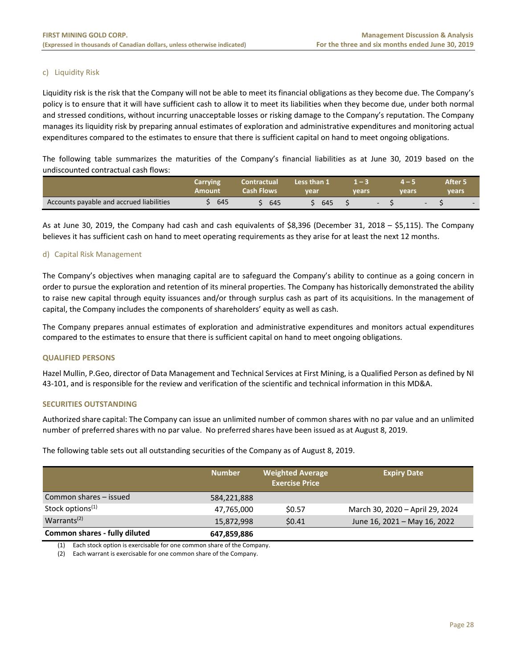# c) Liquidity Risk

Liquidity risk is the risk that the Company will not be able to meet its financial obligations as they become due. The Company's policy is to ensure that it will have sufficient cash to allow it to meet its liabilities when they become due, under both normal and stressed conditions, without incurring unacceptable losses or risking damage to the Company's reputation. The Company manages its liquidity risk by preparing annual estimates of exploration and administrative expenditures and monitoring actual expenditures compared to the estimates to ensure that there is sufficient capital on hand to meet ongoing obligations.

The following table summarizes the maturities of the Company's financial liabilities as at June 30, 2019 based on the undiscounted contractual cash flows:

|                                          | Carrying<br>Amount | <b>Contractual</b><br>Cash Flows | Less than 1<br>vear | 1 — 3<br>vears | vears                        | After 5<br><b>vears</b> |
|------------------------------------------|--------------------|----------------------------------|---------------------|----------------|------------------------------|-------------------------|
| Accounts payable and accrued liabilities | 645                | 645                              | 645                 |                | $\sim$ 100 $\mu$<br>$\sim$ 5 | $\sim$                  |

As at June 30, 2019, the Company had cash and cash equivalents of \$8,396 (December 31, 2018 – \$5,115). The Company believes it has sufficient cash on hand to meet operating requirements as they arise for at least the next 12 months.

# d) Capital Risk Management

The Company's objectives when managing capital are to safeguard the Company's ability to continue as a going concern in order to pursue the exploration and retention of its mineral properties. The Company has historically demonstrated the ability to raise new capital through equity issuances and/or through surplus cash as part of its acquisitions. In the management of capital, the Company includes the components of shareholders' equity as well as cash.

The Company prepares annual estimates of exploration and administrative expenditures and monitors actual expenditures compared to the estimates to ensure that there is sufficient capital on hand to meet ongoing obligations.

# **QUALIFIED PERSONS**

Hazel Mullin, P.Geo, director of Data Management and Technical Services at First Mining, is a Qualified Person as defined by NI 43‐101, and is responsible for the review and verification of the scientific and technical information in this MD&A.

# **SECURITIES OUTSTANDING**

Authorized share capital: The Company can issue an unlimited number of common shares with no par value and an unlimited number of preferred shares with no par value. No preferred shares have been issued as at August 8, 2019.

The following table sets out all outstanding securities of the Company as of August 8, 2019.

|                               | <b>Number</b> | <b>Weighted Average</b><br><b>Exercise Price</b> | <b>Expiry Date</b>              |
|-------------------------------|---------------|--------------------------------------------------|---------------------------------|
| Common shares - issued        | 584,221,888   |                                                  |                                 |
| Stock options <sup>(1)</sup>  | 47,765,000    | \$0.57                                           | March 30, 2020 - April 29, 2024 |
| Warrants <sup>(2)</sup>       | 15,872,998    | \$0.41                                           | June 16, 2021 - May 16, 2022    |
| Common shares - fully diluted | 647,859,886   |                                                  |                                 |

(1) Each stock option is exercisable for one common share of the Company.

(2) Each warrant is exercisable for one common share of the Company.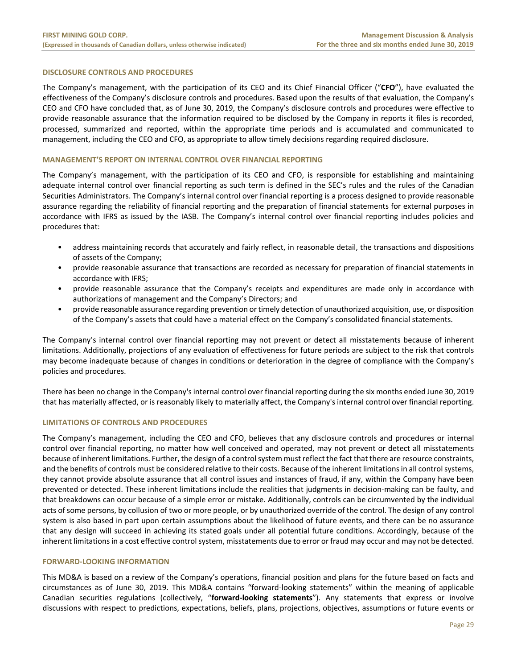# **DISCLOSURE CONTROLS AND PROCEDURES**

The Company's management, with the participation of its CEO and its Chief Financial Officer ("**CFO**"), have evaluated the effectiveness of the Company's disclosure controls and procedures. Based upon the results of that evaluation, the Company's CEO and CFO have concluded that, as of June 30, 2019, the Company's disclosure controls and procedures were effective to provide reasonable assurance that the information required to be disclosed by the Company in reports it files is recorded, processed, summarized and reported, within the appropriate time periods and is accumulated and communicated to management, including the CEO and CFO, as appropriate to allow timely decisions regarding required disclosure.

# **MANAGEMENT'S REPORT ON INTERNAL CONTROL OVER FINANCIAL REPORTING**

The Company's management, with the participation of its CEO and CFO, is responsible for establishing and maintaining adequate internal control over financial reporting as such term is defined in the SEC's rules and the rules of the Canadian Securities Administrators. The Company's internal control over financial reporting is a process designed to provide reasonable assurance regarding the reliability of financial reporting and the preparation of financial statements for external purposes in accordance with IFRS as issued by the IASB. The Company's internal control over financial reporting includes policies and procedures that:

- address maintaining records that accurately and fairly reflect, in reasonable detail, the transactions and dispositions of assets of the Company;
- provide reasonable assurance that transactions are recorded as necessary for preparation of financial statements in accordance with IFRS;
- provide reasonable assurance that the Company's receipts and expenditures are made only in accordance with authorizations of management and the Company's Directors; and
- provide reasonable assurance regarding prevention or timely detection of unauthorized acquisition, use, or disposition of the Company's assets that could have a material effect on the Company's consolidated financial statements.

The Company's internal control over financial reporting may not prevent or detect all misstatements because of inherent limitations. Additionally, projections of any evaluation of effectiveness for future periods are subject to the risk that controls may become inadequate because of changes in conditions or deterioration in the degree of compliance with the Company's policies and procedures.

There has been no change in the Company's internal control over financial reporting during the six months ended June 30, 2019 that has materially affected, or is reasonably likely to materially affect, the Company's internal control over financial reporting.

# **LIMITATIONS OF CONTROLS AND PROCEDURES**

The Company's management, including the CEO and CFO, believes that any disclosure controls and procedures or internal control over financial reporting, no matter how well conceived and operated, may not prevent or detect all misstatements because of inherent limitations. Further, the design of a control system must reflect the fact that there are resource constraints, and the benefits of controls must be considered relative to their costs. Because of the inherent limitations in all control systems, they cannot provide absolute assurance that all control issues and instances of fraud, if any, within the Company have been prevented or detected. These inherent limitations include the realities that judgments in decision‐making can be faulty, and that breakdowns can occur because of a simple error or mistake. Additionally, controls can be circumvented by the individual acts of some persons, by collusion of two or more people, or by unauthorized override of the control. The design of any control system is also based in part upon certain assumptions about the likelihood of future events, and there can be no assurance that any design will succeed in achieving its stated goals under all potential future conditions. Accordingly, because of the inherent limitations in a cost effective control system, misstatements due to error or fraud may occur and may not be detected.

# **FORWARD‐LOOKING INFORMATION**

This MD&A is based on a review of the Company's operations, financial position and plans for the future based on facts and circumstances as of June 30, 2019. This MD&A contains "forward‐looking statements" within the meaning of applicable Canadian securities regulations (collectively, "**forward‐looking statements**"). Any statements that express or involve discussions with respect to predictions, expectations, beliefs, plans, projections, objectives, assumptions or future events or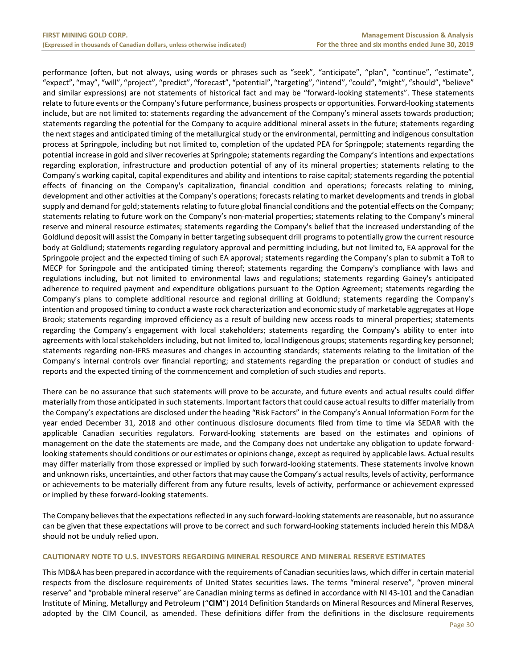performance (often, but not always, using words or phrases such as "seek", "anticipate", "plan", "continue", "estimate", "expect", "may", "will", "project", "predict", "forecast", "potential", "targeting", "intend", "could", "might", "should", "believe" and similar expressions) are not statements of historical fact and may be "forward-looking statements". These statements relate to future events or the Company's future performance, business prospects or opportunities. Forward-looking statements include, but are not limited to: statements regarding the advancement of the Company's mineral assets towards production; statements regarding the potential for the Company to acquire additional mineral assets in the future; statements regarding the next stages and anticipated timing of the metallurgical study or the environmental, permitting and indigenous consultation process at Springpole, including but not limited to, completion of the updated PEA for Springpole; statements regarding the potential increase in gold and silver recoveries at Springpole; statements regarding the Company's intentions and expectations regarding exploration, infrastructure and production potential of any of its mineral properties; statements relating to the Company's working capital, capital expenditures and ability and intentions to raise capital; statements regarding the potential effects of financing on the Company's capitalization, financial condition and operations; forecasts relating to mining, development and other activities at the Company's operations; forecasts relating to market developments and trends in global supply and demand for gold; statements relating to future global financial conditions and the potential effects on the Company; statements relating to future work on the Company's non‐material properties; statements relating to the Company's mineral reserve and mineral resource estimates; statements regarding the Company's belief that the increased understanding of the Goldlund deposit will assist the Company in better targeting subsequent drill programs to potentially grow the current resource body at Goldlund; statements regarding regulatory approval and permitting including, but not limited to, EA approval for the Springpole project and the expected timing of such EA approval; statements regarding the Company's plan to submit a ToR to MECP for Springpole and the anticipated timing thereof; statements regarding the Company's compliance with laws and regulations including, but not limited to environmental laws and regulations; statements regarding Gainey's anticipated adherence to required payment and expenditure obligations pursuant to the Option Agreement; statements regarding the Company's plans to complete additional resource and regional drilling at Goldlund; statements regarding the Company's intention and proposed timing to conduct a waste rock characterization and economic study of marketable aggregates at Hope Brook; statements regarding improved efficiency as a result of building new access roads to mineral properties; statements regarding the Company's engagement with local stakeholders; statements regarding the Company's ability to enter into agreements with local stakeholders including, but not limited to, local Indigenous groups; statements regarding key personnel; statements regarding non-IFRS measures and changes in accounting standards; statements relating to the limitation of the Company's internal controls over financial reporting; and statements regarding the preparation or conduct of studies and reports and the expected timing of the commencement and completion of such studies and reports.

There can be no assurance that such statements will prove to be accurate, and future events and actual results could differ materially from those anticipated in such statements. Important factors that could cause actual results to differ materially from the Company's expectations are disclosed under the heading "Risk Factors" in the Company's Annual Information Form for the year ended December 31, 2018 and other continuous disclosure documents filed from time to time via SEDAR with the applicable Canadian securities regulators. Forward-looking statements are based on the estimates and opinions of management on the date the statements are made, and the Company does not undertake any obligation to update forward‐ looking statements should conditions or our estimates or opinions change, except as required by applicable laws. Actual results may differ materially from those expressed or implied by such forward‐looking statements. These statements involve known and unknown risks, uncertainties, and other factors that may cause the Company's actual results, levels of activity, performance or achievements to be materially different from any future results, levels of activity, performance or achievement expressed or implied by these forward‐looking statements.

The Company believes that the expectations reflected in any such forward‐looking statements are reasonable, but no assurance can be given that these expectations will prove to be correct and such forward‐looking statements included herein this MD&A should not be unduly relied upon.

# **CAUTIONARY NOTE TO U.S. INVESTORS REGARDING MINERAL RESOURCE AND MINERAL RESERVE ESTIMATES**

This MD&A has been prepared in accordance with the requirements of Canadian securities laws, which differ in certain material respects from the disclosure requirements of United States securities laws. The terms "mineral reserve", "proven mineral reserve" and "probable mineral reserve" are Canadian mining terms as defined in accordance with NI 43‐101 and the Canadian Institute of Mining, Metallurgy and Petroleum ("**CIM**") 2014 Definition Standards on Mineral Resources and Mineral Reserves, adopted by the CIM Council, as amended. These definitions differ from the definitions in the disclosure requirements